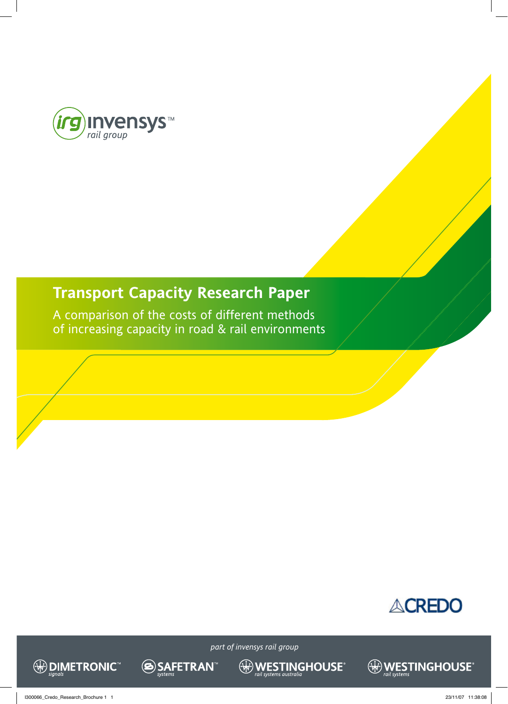

## **Transport Capacity Research Paper**

**SAFETRAN** 

A comparison of the costs of different methods of increasing capacity in road & rail environments





*part of invensys rail group*

 $\bigoplus_{\textit{real systems } \textit{australia}} \hspace{-0.5cm} \pmb{\mathsf{MOUSE}}^{\textit{c}}$ 

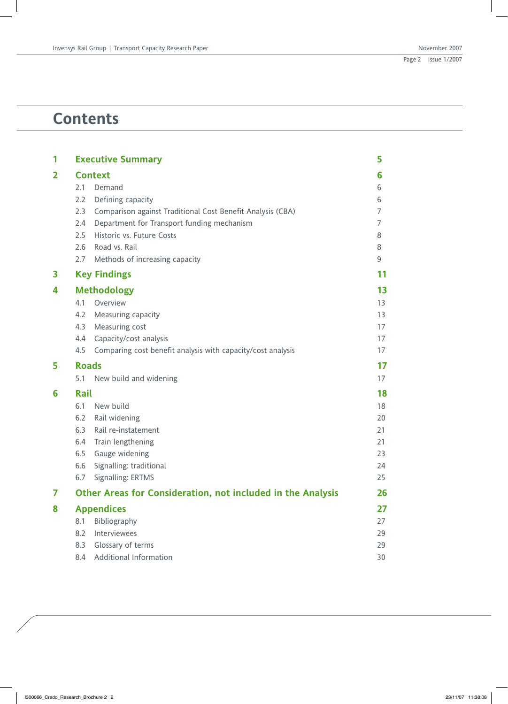## **Contents**

| 1 | <b>Executive Summary</b>                                           |                                  |  |  |  |
|---|--------------------------------------------------------------------|----------------------------------|--|--|--|
| 2 | <b>Context</b>                                                     | 6                                |  |  |  |
|   | 2.1<br>Demand                                                      | 6                                |  |  |  |
|   | 2.2<br>Defining capacity                                           | 6                                |  |  |  |
|   | 2.3<br>Comparison against Traditional Cost Benefit Analysis (CBA)  | 7                                |  |  |  |
|   | Department for Transport funding mechanism<br>2.4                  | 7                                |  |  |  |
|   | Historic vs. Future Costs<br>2.5                                   | 8                                |  |  |  |
|   | 2.6<br>Road vs. Rail                                               | 8                                |  |  |  |
|   | 2.7<br>Methods of increasing capacity                              | 9                                |  |  |  |
| 3 | <b>Key Findings</b>                                                | 11                               |  |  |  |
| 4 | <b>Methodology</b>                                                 | 13                               |  |  |  |
|   | 4.1<br>Overview                                                    | 13                               |  |  |  |
|   | 4.2<br>Measuring capacity                                          | 13                               |  |  |  |
|   | 4.3<br>Measuring cost                                              | 17                               |  |  |  |
|   | Capacity/cost analysis<br>4.4                                      | 17                               |  |  |  |
|   | 4.5<br>Comparing cost benefit analysis with capacity/cost analysis | 17                               |  |  |  |
|   |                                                                    |                                  |  |  |  |
| 5 | <b>Roads</b>                                                       | 17                               |  |  |  |
|   | New build and widening<br>5.1                                      | 17                               |  |  |  |
| 6 | Rail                                                               |                                  |  |  |  |
|   | 6.1<br>New build                                                   | 18<br>18                         |  |  |  |
|   | 6.2<br>Rail widening                                               | 20                               |  |  |  |
|   | 6.3<br>Rail re-instatement                                         | 21                               |  |  |  |
|   | 6.4<br>Train lengthening                                           | 21                               |  |  |  |
|   | 6.5<br>Gauge widening                                              | 23                               |  |  |  |
|   | Signalling: traditional<br>6.6                                     | 24                               |  |  |  |
|   | Signalling: ERTMS<br>6.7                                           |                                  |  |  |  |
| 7 | Other Areas for Consideration, not included in the Analysis        |                                  |  |  |  |
| 8 | <b>Appendices</b>                                                  |                                  |  |  |  |
|   | 8.1<br>Bibliography                                                | 27                               |  |  |  |
|   | Interviewees<br>8.2                                                |                                  |  |  |  |
|   | Glossary of terms<br>8.3<br><b>Additional Information</b>          | 25<br>26<br>27<br>29<br>29<br>30 |  |  |  |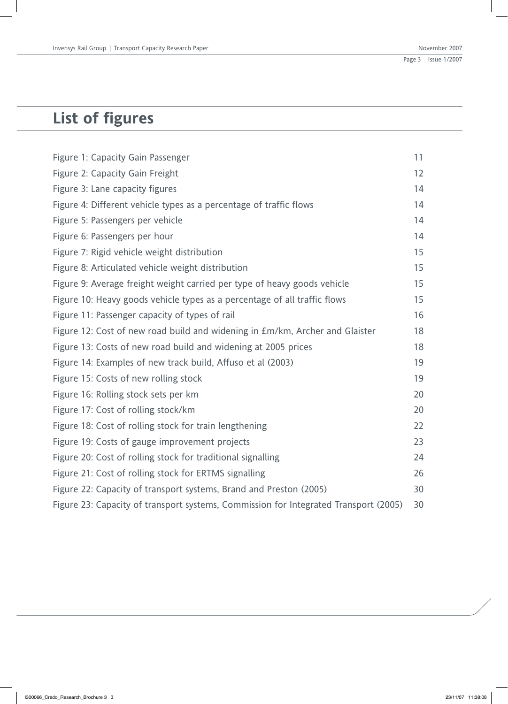# **List of figures**

| Figure 1: Capacity Gain Passenger                                                    | 11 |
|--------------------------------------------------------------------------------------|----|
| Figure 2: Capacity Gain Freight                                                      | 12 |
| Figure 3: Lane capacity figures                                                      | 14 |
| Figure 4: Different vehicle types as a percentage of traffic flows                   | 14 |
| Figure 5: Passengers per vehicle                                                     | 14 |
| Figure 6: Passengers per hour                                                        | 14 |
| Figure 7: Rigid vehicle weight distribution                                          | 15 |
| Figure 8: Articulated vehicle weight distribution                                    | 15 |
| Figure 9: Average freight weight carried per type of heavy goods vehicle             | 15 |
| Figure 10: Heavy goods vehicle types as a percentage of all traffic flows            | 15 |
| Figure 11: Passenger capacity of types of rail                                       | 16 |
| Figure 12: Cost of new road build and widening in £m/km, Archer and Glaister         | 18 |
| Figure 13: Costs of new road build and widening at 2005 prices                       | 18 |
| Figure 14: Examples of new track build, Affuso et al (2003)                          | 19 |
| Figure 15: Costs of new rolling stock                                                | 19 |
| Figure 16: Rolling stock sets per km                                                 | 20 |
| Figure 17: Cost of rolling stock/km                                                  | 20 |
| Figure 18: Cost of rolling stock for train lengthening                               | 22 |
| Figure 19: Costs of gauge improvement projects                                       | 23 |
| Figure 20: Cost of rolling stock for traditional signalling                          | 24 |
| Figure 21: Cost of rolling stock for ERTMS signalling                                | 26 |
| Figure 22: Capacity of transport systems, Brand and Preston (2005)                   | 30 |
| Figure 23: Capacity of transport systems, Commission for Integrated Transport (2005) | 30 |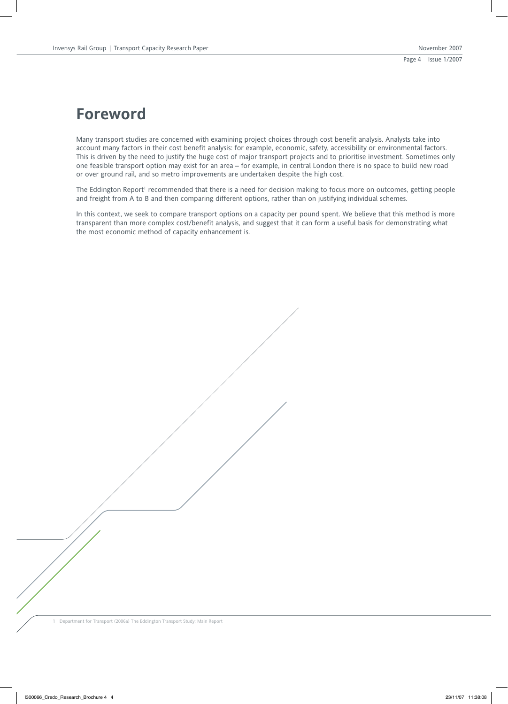## **Foreword**

Many transport studies are concerned with examining project choices through cost benefit analysis. Analysts take into account many factors in their cost benefit analysis: for example, economic, safety, accessibility or environmental factors. This is driven by the need to justify the huge cost of major transport projects and to prioritise investment. Sometimes only one feasible transport option may exist for an area – for example, in central London there is no space to build new road or over ground rail, and so metro improvements are undertaken despite the high cost.

The Eddington Report<sup>1</sup> recommended that there is a need for decision making to focus more on outcomes, getting people and freight from A to B and then comparing different options, rather than on justifying individual schemes.

In this context, we seek to compare transport options on a capacity per pound spent. We believe that this method is more transparent than more complex cost/benefit analysis, and suggest that it can form a useful basis for demonstrating what the most economic method of capacity enhancement is.

1 Department for Transport (2006a) The Eddington Transport Study: Main Report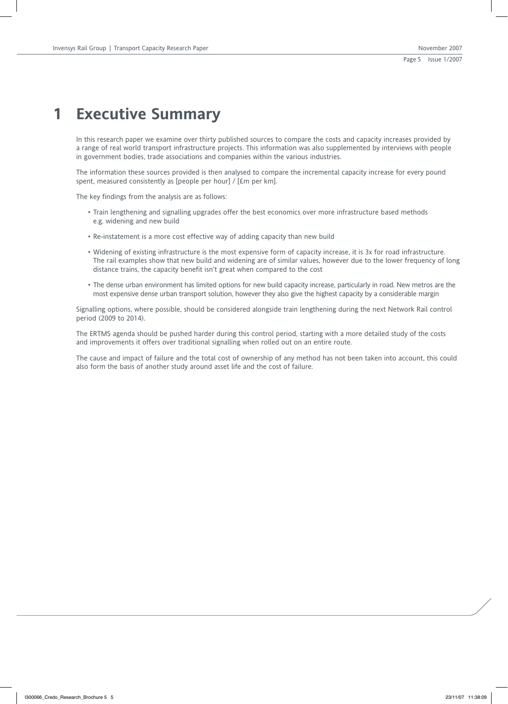## **1 Executive Summary**

In this research paper we examine over thirty published sources to compare the costs and capacity increases provided by a range of real world transport infrastructure projects. This information was also supplemented by interviews with people in government bodies, trade associations and companies within the various industries.

The information these sources provided is then analysed to compare the incremental capacity increase for every pound spent, measured consistently as [people per hour] / [£m per km].

The key findings from the analysis are as follows:

- Train lengthening and signalling upgrades offer the best economics over more infrastructure based methods e.g. widening and new build
- Re-instatement is a more cost effective way of adding capacity than new build
- Widening of existing infrastructure is the most expensive form of capacity increase, it is 3x for road infrastructure. The rail examples show that new build and widening are of similar values, however due to the lower frequency of long distance trains, the capacity benefit isn't great when compared to the cost
- The dense urban environment has limited options for new build capacity increase, particularly in road. New metros are the most expensive dense urban transport solution, however they also give the highest capacity by a considerable margin

Signalling options, where possible, should be considered alongside train lengthening during the next Network Rail control period (2009 to 2014).

The ERTMS agenda should be pushed harder during this control period, starting with a more detailed study of the costs and improvements it offers over traditional signalling when rolled out on an entire route.

The cause and impact of failure and the total cost of ownership of any method has not been taken into account, this could also form the basis of another study around asset life and the cost of failure.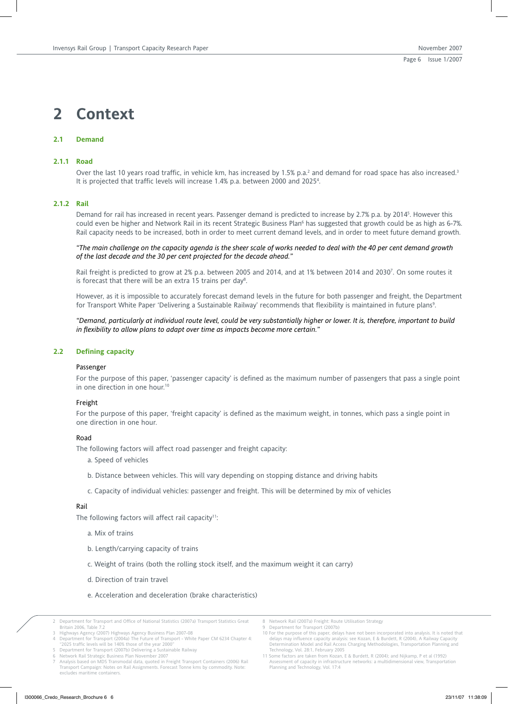## **2 Context**

## **2.1 Demand**

#### **2.1.1 Road**

Over the last 10 years road traffic, in vehicle km, has increased by 1.5% p.a.<sup>2</sup> and demand for road space has also increased.<sup>3</sup> It is projected that traffic levels will increase 1.4% p.a. between 2000 and 2025<sup>4</sup>.

#### **2.1.2 Rail**

Demand for rail has increased in recent years. Passenger demand is predicted to increase by 2.7% p.a. by 2014<sup>5</sup>. However this could even be higher and Network Rail in its recent Strategic Business Plan<sup>6</sup> has suggested that growth could be as high as 6-7%. Rail capacity needs to be increased, both in order to meet current demand levels, and in order to meet future demand growth.

*"The main challenge on the capacity agenda is the sheer scale of works needed to deal with the 40 per cent demand growth of the last decade and the 30 per cent projected for the decade ahead."*

Rail freight is predicted to grow at 2% p.a. between 2005 and 2014, and at 1% between 2014 and 2030'. On some routes it is forecast that there will be an extra 15 trains per day<sup>8</sup>.

However, as it is impossible to accurately forecast demand levels in the future for both passenger and freight, the Department for Transport White Paper 'Delivering a Sustainable Railway' recommends that flexibility is maintained in future plans<sup>9</sup>.

*"Demand, particularly at individual route level, could be very substantially higher or lower. It is, therefore, important to build in flexibility to allow plans to adapt over time as impacts become more certain."*

## **2.2 Defining capacity**

#### Passenger

For the purpose of this paper, 'passenger capacity' is defined as the maximum number of passengers that pass a single point in one direction in one hour.<sup>10</sup>

#### Freight

For the purpose of this paper, 'freight capacity' is defined as the maximum weight, in tonnes, which pass a single point in one direction in one hour.

#### Road

The following factors will affect road passenger and freight capacity:

- a. Speed of vehicles
- b. Distance between vehicles. This will vary depending on stopping distance and driving habits
- c. Capacity of individual vehicles: passenger and freight. This will be determined by mix of vehicles

## Rail

The following factors will affect rail capacity<sup>11</sup>:

- a. Mix of trains
- b. Length/carrying capacity of trains
- c. Weight of trains (both the rolling stock itself, and the maximum weight it can carry)
- d. Direction of train travel
- e. Acceleration and deceleration (brake characteristics)
- 2 Department for Transport and Office of National Statistics (2007a) Transport Statistics Great Britain 2006, Table 7.2

8 Network Rail (2007a) Freight: Route Utilisation Strategy 9 Department for Transport (2007b)

<sup>3</sup> Highways Agency (2007) Highways Agency Business Plan 2007-08 4 Department for Transport (2004a) The Future of Transport - White Paper CM 6234 Chapter 4:

<sup>&</sup>quot;2025 traffic levels will be 140% those of the year 2000" 5 Department for Transport (2007b) Delivering a Sustainable Railway

<sup>6</sup> Network Rail Strategic Business Plan November 2007

<sup>7</sup> Analysis based on MDS Transmodal data, quoted in Freight Transport Containers (2006) Rail Transport Campaign: Notes on Rail Assignments. Forecast Tonne kms by commodity. Note: excludes maritime containers.

<sup>10</sup> For the purpose of this paper, delays have not been incorporated into analysis. It is noted that delays may influence capacity analysis: see Kozan, E & Burdett, R (2004), A Railway Capacity Determination Model and Rail Access Charging Methodologies, Transportation Planning and

Technology, Vol. 28:1, February 2005 11 Some factors are taken from Kozan, E & Burdett, R (2004); and Nijkamp, P et al (1992) Assessment of capacity in infrastructure networks: a multidimensional view, Transportation Planning and Technology, Vol. 17:4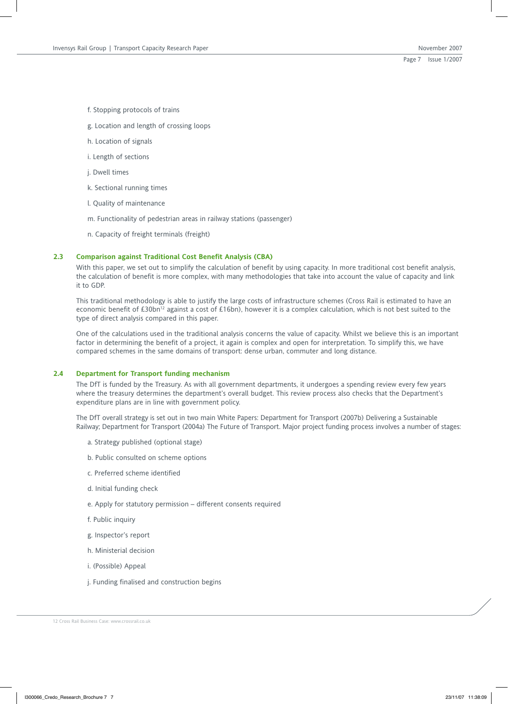f. Stopping protocols of trains

- g. Location and length of crossing loops
- h. Location of signals
- i. Length of sections
- j. Dwell times
- k. Sectional running times
- l. Quality of maintenance
- m. Functionality of pedestrian areas in railway stations (passenger)
- n. Capacity of freight terminals (freight)

## **2.3 Comparison against Traditional Cost Benefit Analysis (CBA)**

With this paper, we set out to simplify the calculation of benefit by using capacity. In more traditional cost benefit analysis, the calculation of benefit is more complex, with many methodologies that take into account the value of capacity and link it to GDP.

This traditional methodology is able to justify the large costs of infrastructure schemes (Cross Rail is estimated to have an economic benefit of £30bn<sup>12</sup> against a cost of £16bn), however it is a complex calculation, which is not best suited to the type of direct analysis compared in this paper.

One of the calculations used in the traditional analysis concerns the value of capacity. Whilst we believe this is an important factor in determining the benefit of a project, it again is complex and open for interpretation. To simplify this, we have compared schemes in the same domains of transport: dense urban, commuter and long distance.

## **2.4 Department for Transport funding mechanism**

The DfT is funded by the Treasury. As with all government departments, it undergoes a spending review every few years where the treasury determines the department's overall budget. This review process also checks that the Department's expenditure plans are in line with government policy.

The DfT overall strategy is set out in two main White Papers: Department for Transport (2007b) Delivering a Sustainable Railway; Department for Transport (2004a) The Future of Transport. Major project funding process involves a number of stages:

- a. Strategy published (optional stage)
- b. Public consulted on scheme options
- c. Preferred scheme identified
- d. Initial funding check
- e. Apply for statutory permission different consents required
- f. Public inquiry
- g. Inspector's report
- h. Ministerial decision
- i. (Possible) Appeal
- j. Funding finalised and construction begins

12 Cross Rail Business Case: www.crossrail.co.uk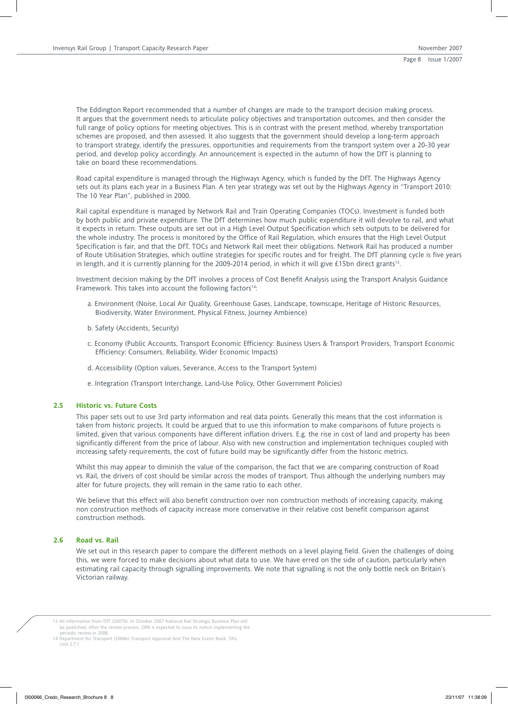The Eddington Report recommended that a number of changes are made to the transport decision making process. It argues that the government needs to articulate policy objectives and transportation outcomes, and then consider the full range of policy options for meeting objectives. This is in contrast with the present method, whereby transportation schemes are proposed, and then assessed. It also suggests that the government should develop a long-term approach to transport strategy, identify the pressures, opportunities and requirements from the transport system over a 20-30 year period, and develop policy accordingly. An announcement is expected in the autumn of how the DfT is planning to take on board these recommendations.

Road capital expenditure is managed through the Highways Agency, which is funded by the DfT. The Highways Agency sets out its plans each year in a Business Plan. A ten year strategy was set out by the Highways Agency in "Transport 2010: The 10 Year Plan", published in 2000.

Rail capital expenditure is managed by Network Rail and Train Operating Companies (TOCs). Investment is funded both by both public and private expenditure. The DfT determines how much public expenditure it will devolve to rail, and what it expects in return. These outputs are set out in a High Level Output Specification which sets outputs to be delivered for the whole industry. The process is monitored by the Office of Rail Regulation, which ensures that the High Level Output Specification is fair, and that the DfT, TOCs and Network Rail meet their obligations. Network Rail has produced a number of Route Utilisation Strategies, which outline strategies for specific routes and for freight. The DfT planning cycle is five years in length, and it is currently planning for the 2009-2014 period, in which it will give £15bn direct grants<sup>13</sup>.

Investment decision making by the DfT involves a process of Cost Benefit Analysis using the Transport Analysis Guidance Framework. This takes into account the following factors<sup>14</sup>:

- a. Environment (Noise, Local Air Quality, Greenhouse Gases, Landscape, townscape, Heritage of Historic Resources, Biodiversity, Water Environment, Physical Fitness, Journey Ambience)
- b. Safety (Accidents, Security)
- c. Economy (Public Accounts, Transport Economic Efficiency: Business Users & Transport Providers, Transport Economic Efficiency: Consumers, Reliability, Wider Economic Impacts)
- d. Accessibility (Option values, Severance, Access to the Transport System)
- e. Integration (Transport Interchange, Land-Use Policy, Other Government Policies)

### **2.5 Historic vs. Future Costs**

This paper sets out to use 3rd party information and real data points. Generally this means that the cost information is taken from historic projects. It could be argued that to use this information to make comparisons of future projects is limited, given that various components have different inflation drivers. E.g. the rise in cost of land and property has been significantly different from the price of labour. Also with new construction and implementation techniques coupled with increasing safety requirements, the cost of future build may be significantly differ from the historic metrics.

Whilst this may appear to diminish the value of the comparison, the fact that we are comparing construction of Road vs. Rail, the drivers of cost should be similar across the modes of transport. Thus although the underlying numbers may alter for future projects, they will remain in the same ratio to each other.

We believe that this effect will also benefit construction over non construction methods of increasing capacity, making non construction methods of capacity increase more conservative in their relative cost benefit comparison against construction methods.

## **2.6 Road vs. Rail**

We set out in this research paper to compare the different methods on a level playing field. Given the challenges of doing this, we were forced to make decisions about what data to use. We have erred on the side of caution, particularly when estimating rail capacity through signalling improvements. We note that signalling is not the only bottle neck on Britain's Victorian railway.

13 All information from DfT (2007b). In October 2007 National Rail Strategic Business Plan will be published. After the review process, ORR is expected to issue its notice implementing the periodic review in 2008.

<sup>14</sup> Department for Transport (2004b) Transport Appraisal And The New Green Book, TAG Unit 2.7.1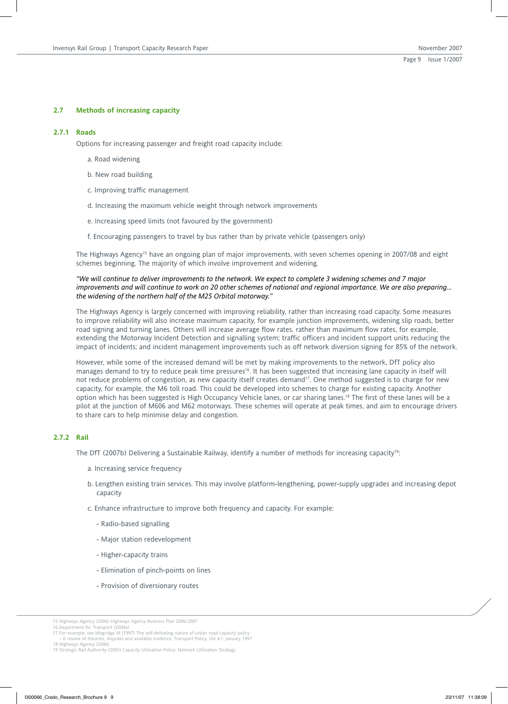#### **2.7 Methods of increasing capacity**

#### **2.7.1 Roads**

Options for increasing passenger and freight road capacity include:

- a. Road widening
- b. New road building
- c. Improving traffic management
- d. Increasing the maximum vehicle weight through network improvements
- e. Increasing speed limits (not favoured by the government)
- f. Encouraging passengers to travel by bus rather than by private vehicle (passengers only)

The Highways Agency<sup>15</sup> have an ongoing plan of major improvements, with seven schemes opening in 2007/08 and eight schemes beginning. The majority of which involve improvement and widening.

## *"We will continue to deliver improvements to the network. We expect to complete 3 widening schemes and 7 major improvements and will continue to work on 20 other schemes of national and regional importance. We are also preparing… the widening of the northern half of the M25 Orbital motorway."*

The Highways Agency is largely concerned with improving reliability, rather than increasing road capacity. Some measures to improve reliability will also increase maximum capacity, for example junction improvements, widening slip roads, better road signing and turning lanes. Others will increase average flow rates, rather than maximum flow rates, for example, extending the Motorway Incident Detection and signalling system; traffic officers and incident support units reducing the impact of incidents; and incident management improvements such as off network diversion signing for 85% of the network.

However, while some of the increased demand will be met by making improvements to the network, DfT policy also manages demand to try to reduce peak time pressures<sup>16</sup>. It has been suggested that increasing lane capacity in itself will not reduce problems of congestion, as new capacity itself creates demand<sup>17</sup>. One method suggested is to charge for new capacity, for example, the M6 toll road. This could be developed into schemes to charge for existing capacity. Another option which has been suggested is High Occupancy Vehicle lanes, or car sharing lanes.18 The first of these lanes will be a pilot at the junction of M606 and M62 motorways. These schemes will operate at peak times, and aim to encourage drivers to share cars to help minimise delay and congestion.

### **2.7.2 Rail**

The DfT (2007b) Delivering a Sustainable Railway, identify a number of methods for increasing capacity<sup>19</sup>:

- a. Increasing service frequency
- b. Lengthen existing train services. This may involve platform-lengthening, power-supply upgrades and increasing depot capacity
- c. Enhance infrastructure to improve both frequency and capacity. For example:
	- Radio-based signalling
	- Major station redevelopment
	- Higher-capacity trains
	- Elimination of pinch-points on lines
	- Provision of diversionary routes

<sup>15</sup> Highways Agency (2006) Highways Agency Business Plan 2006/2007 16 Department for Transport (2004a)

<sup>17</sup> For example, see Mogridge M (1997) The self-defeating nature of urban road capacity policy - A review of theories, disputes and available evidence. Transport Policy, Vol 4:1, January 1997

<sup>18</sup> Highways Agency (2006) 19 Strategic Rail Authority (2003) Capacity Utilisation Policy: Network Utilisation Strategy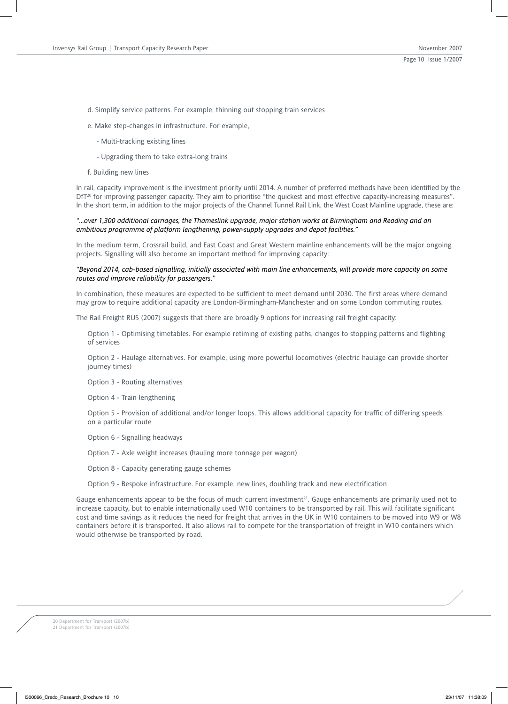- d. Simplify service patterns. For example, thinning out stopping train services
- e. Make step-changes in infrastructure. For example,
	- Multi-tracking existing lines
	- Upgrading them to take extra-long trains
- f. Building new lines

In rail, capacity improvement is the investment priority until 2014. A number of preferred methods have been identified by the DfT<sup>20</sup> for improving passenger capacity. They aim to prioritise "the quickest and most effective capacity-increasing measures". In the short term, in addition to the major projects of the Channel Tunnel Rail Link, the West Coast Mainline upgrade, these are:

## *"…over 1,300 additional carriages, the Thameslink upgrade, major station works at Birmingham and Reading and an ambitious programme of platform lengthening, power-supply upgrades and depot facilities."*

In the medium term, Crossrail build, and East Coast and Great Western mainline enhancements will be the major ongoing projects. Signalling will also become an important method for improving capacity:

### *"Beyond 2014, cab-based signalling, initially associated with main line enhancements, will provide more capacity on some routes and improve reliability for passengers."*

In combination, these measures are expected to be sufficient to meet demand until 2030. The first areas where demand may grow to require additional capacity are London-Birmingham-Manchester and on some London commuting routes.

The Rail Freight RUS (2007) suggests that there are broadly 9 options for increasing rail freight capacity:

Option 1 - Optimising timetables. For example retiming of existing paths, changes to stopping patterns and flighting of services

Option 2 - Haulage alternatives. For example, using more powerful locomotives (electric haulage can provide shorter journey times)

Option 3 - Routing alternatives

Option 4 - Train lengthening

Option 5 - Provision of additional and/or longer loops. This allows additional capacity for traffic of differing speeds on a particular route

Option 6 - Signalling headways

Option 7 - Axle weight increases (hauling more tonnage per wagon)

Option 8 - Capacity generating gauge schemes

Option 9 - Bespoke infrastructure. For example, new lines, doubling track and new electrification

Gauge enhancements appear to be the focus of much current investment<sup>21</sup>. Gauge enhancements are primarily used not to increase capacity, but to enable internationally used W10 containers to be transported by rail. This will facilitate significant cost and time savings as it reduces the need for freight that arrives in the UK in W10 containers to be moved into W9 or W8 containers before it is transported. It also allows rail to compete for the transportation of freight in W10 containers which would otherwise be transported by road.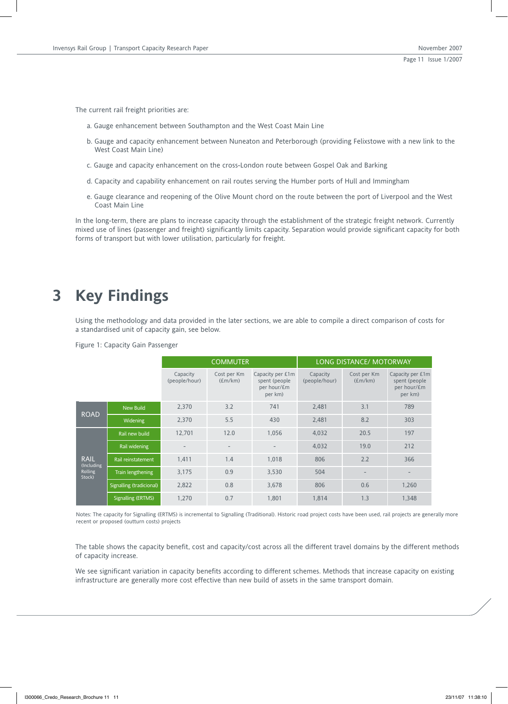The current rail freight priorities are:

- a. Gauge enhancement between Southampton and the West Coast Main Line
- b. Gauge and capacity enhancement between Nuneaton and Peterborough (providing Felixstowe with a new link to the West Coast Main Line)
- c. Gauge and capacity enhancement on the cross-London route between Gospel Oak and Barking
- d. Capacity and capability enhancement on rail routes serving the Humber ports of Hull and Immingham
- e. Gauge clearance and reopening of the Olive Mount chord on the route between the port of Liverpool and the West Coast Main Line

In the long-term, there are plans to increase capacity through the establishment of the strategic freight network. Currently mixed use of lines (passenger and freight) significantly limits capacity. Separation would provide significant capacity for both forms of transport but with lower utilisation, particularly for freight.

## **3 Key Findings**

Using the methodology and data provided in the later sections, we are able to compile a direct comparison of costs for a standardised unit of capacity gain, see below.

Figure 1: Capacity Gain Passenger

|                           |                          | <b>COMMUTER</b>           |                        | LONG DISTANCE/ MOTORWAY                                      |                           |                        |                                                             |
|---------------------------|--------------------------|---------------------------|------------------------|--------------------------------------------------------------|---------------------------|------------------------|-------------------------------------------------------------|
|                           |                          | Capacity<br>(people/hour) | Cost per Km<br>(Em/km) | Capacity per £1m<br>spent (people)<br>per hour/£m<br>per km) | Capacity<br>(people/hour) | Cost per Km<br>(Em/km) | Capacity per £1m<br>spent (people<br>per hour/£m<br>per km) |
| <b>ROAD</b>               | <b>New Build</b>         | 2,370                     | 3.2                    | 741                                                          | 2.481                     | 3.1                    | 789                                                         |
|                           | <b>Widening</b>          | 2,370                     | 5.5                    | 430                                                          | 2.481                     | 8.2                    | 303                                                         |
|                           | Rail new build           | 12,701                    | 12.0                   | 1.056                                                        | 4.032                     | 20.5                   | 197                                                         |
|                           | Rail widening            | $\overline{\phantom{m}}$  | $\qquad \qquad -$      | $\overline{\phantom{a}}$                                     | 4.032                     | 19.0                   | 212                                                         |
| <b>RAIL</b><br>(Including | Rail reinstatement       | 1,411                     | 1.4                    | 1.018                                                        | 806                       | 2.2                    | 366                                                         |
| <b>Rolling</b><br>Stock)  | Train lengthening        | 3,175                     | 0.9                    | 3,530                                                        | 504                       |                        |                                                             |
|                           | Signalling (tradicional) | 2,822                     | 0.8                    | 3,678                                                        | 806                       | 0.6                    | 1,260                                                       |
|                           | Signalling (ERTMS)       | 1.270                     | 0.7                    | 1.801                                                        | 1.814                     | 1.3                    | 1,348                                                       |

Notes: The capacity for Signalling (ERTMS) is incremental to Signalling (Traditional). Historic road project costs have been used, rail projects are generally more recent or proposed (outturn costs) projects

The table shows the capacity benefit, cost and capacity/cost across all the different travel domains by the different methods of capacity increase.

We see significant variation in capacity benefits according to different schemes. Methods that increase capacity on existing infrastructure are generally more cost effective than new build of assets in the same transport domain.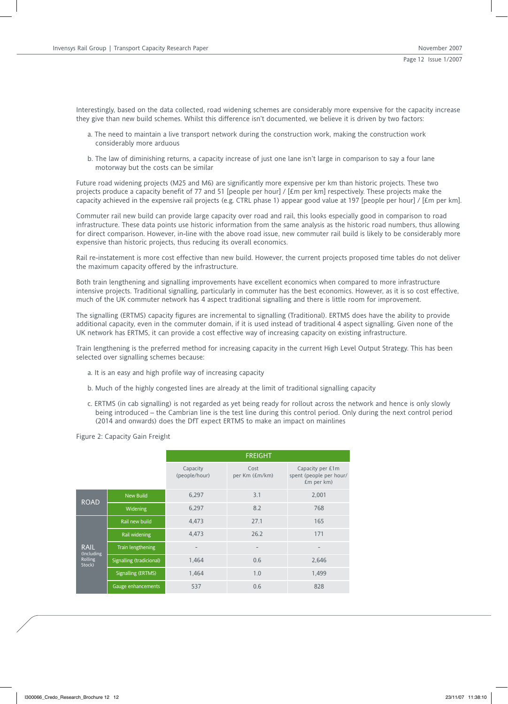Interestingly, based on the data collected, road widening schemes are considerably more expensive for the capacity increase they give than new build schemes. Whilst this difference isn't documented, we believe it is driven by two factors:

- a. The need to maintain a live transport network during the construction work, making the construction work considerably more arduous
- b. The law of diminishing returns, a capacity increase of just one lane isn't large in comparison to say a four lane motorway but the costs can be similar

Future road widening projects (M25 and M6) are significantly more expensive per km than historic projects. These two projects produce a capacity benefit of 77 and 51 [people per hour] / [£m per km] respectively. These projects make the capacity achieved in the expensive rail projects (e.g. CTRL phase 1) appear good value at 197 [people per hour] / [£m per km].

Commuter rail new build can provide large capacity over road and rail, this looks especially good in comparison to road infrastructure. These data points use historic information from the same analysis as the historic road numbers, thus allowing for direct comparison. However, in-line with the above road issue, new commuter rail build is likely to be considerably more expensive than historic projects, thus reducing its overall economics.

Rail re-instatement is more cost effective than new build. However, the current projects proposed time tables do not deliver the maximum capacity offered by the infrastructure.

Both train lengthening and signalling improvements have excellent economics when compared to more infrastructure intensive projects. Traditional signalling, particularly in commuter has the best economics. However, as it is so cost effective, much of the UK commuter network has 4 aspect traditional signalling and there is little room for improvement.

The signalling (ERTMS) capacity figures are incremental to signalling (Traditional). ERTMS does have the ability to provide additional capacity, even in the commuter domain, if it is used instead of traditional 4 aspect signalling. Given none of the UK network has ERTMS, it can provide a cost effective way of increasing capacity on existing infrastructure.

Train lengthening is the preferred method for increasing capacity in the current High Level Output Strategy. This has been selected over signalling schemes because:

- a. It is an easy and high profile way of increasing capacity
- b. Much of the highly congested lines are already at the limit of traditional signalling capacity
- c. ERTMS (in cab signalling) is not regarded as yet being ready for rollout across the network and hence is only slowly being introduced – the Cambrian line is the test line during this control period. Only during the next control period (2014 and onwards) does the DfT expect ERTMS to make an impact on mainlines

Figure 2: Capacity Gain Freight

|                           |                          | <b>FREIGHT</b>            |                        |                                                           |  |
|---------------------------|--------------------------|---------------------------|------------------------|-----------------------------------------------------------|--|
|                           |                          | Capacity<br>(people/hour) | Cost<br>per Km (£m/km) | Capacity per £1m<br>spent (people per hour/<br>£m per km) |  |
|                           | <b>New Build</b>         | 6,297                     | 3.1                    | 2,001                                                     |  |
| <b>ROAD</b>               | <b>Widening</b>          | 6,297                     | 8.2                    | 768                                                       |  |
|                           | Rail new build           | 4,473                     | 27.1                   | 165                                                       |  |
|                           | Rail widening            | 4,473                     | 26.2                   | 171                                                       |  |
| <b>RAIL</b><br>(Including | Train lengthening        |                           |                        |                                                           |  |
| <b>Rolling</b><br>Stock)  | Signalling (tradicional) | 1,464                     | 0.6                    | 2,646                                                     |  |
|                           | Signalling (ERTMS)       | 1,464                     | 1.0                    | 1,499                                                     |  |
|                           | Gauge enhancements       | 537                       | 0.6                    | 828                                                       |  |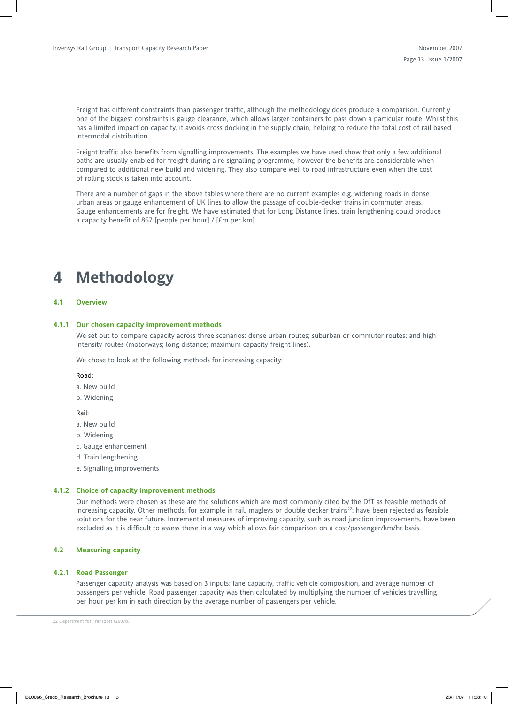Freight has different constraints than passenger traffic, although the methodology does produce a comparison. Currently one of the biggest constraints is gauge clearance, which allows larger containers to pass down a particular route. Whilst this has a limited impact on capacity, it avoids cross docking in the supply chain, helping to reduce the total cost of rail based intermodal distribution.

Freight traffic also benefits from signalling improvements. The examples we have used show that only a few additional paths are usually enabled for freight during a re-signalling programme, however the benefits are considerable when compared to additional new build and widening. They also compare well to road infrastructure even when the cost of rolling stock is taken into account.

There are a number of gaps in the above tables where there are no current examples e.g. widening roads in dense urban areas or gauge enhancement of UK lines to allow the passage of double-decker trains in commuter areas. Gauge enhancements are for freight. We have estimated that for Long Distance lines, train lengthening could produce a capacity benefit of 867 [people per hour] / [£m per km].

## **4 Methodology**

## **4.1 Overview**

#### **4.1.1 Our chosen capacity improvement methods**

We set out to compare capacity across three scenarios: dense urban routes; suburban or commuter routes; and high intensity routes (motorways; long distance; maximum capacity freight lines).

We chose to look at the following methods for increasing capacity:

#### Road:

a. New build

b. Widening

#### Rail:

- a. New build
- b. Widening
- c. Gauge enhancement
- d. Train lengthening
- e. Signalling improvements

#### **4.1.2 Choice of capacity improvement methods**

Our methods were chosen as these are the solutions which are most commonly cited by the DfT as feasible methods of increasing capacity. Other methods, for example in rail, maglevs or double decker trains<sup>22</sup>; have been rejected as feasible solutions for the near future. Incremental measures of improving capacity, such as road junction improvements, have been excluded as it is difficult to assess these in a way which allows fair comparison on a cost/passenger/km/hr basis.

## **4.2 Measuring capacity**

#### **4.2.1 Road Passenger**

Passenger capacity analysis was based on 3 inputs: lane capacity, traffic vehicle composition, and average number of passengers per vehicle. Road passenger capacity was then calculated by multiplying the number of vehicles travelling per hour per km in each direction by the average number of passengers per vehicle.

22 Department for Transport (2007b)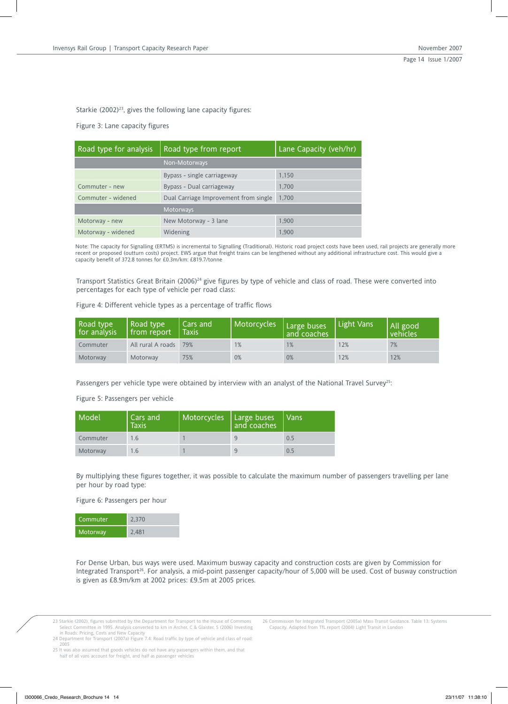Starkie  $(2002)^{23}$ , gives the following lane capacity figures:

Figure 3: Lane capacity figures

| Road type for analysis | Road type from report                 | Lane Capacity (veh/hr) |
|------------------------|---------------------------------------|------------------------|
|                        | Non-Motorways                         |                        |
|                        | Bypass - single carriageway           | 1,150                  |
| Commuter - new         | Bypass - Dual carriageway             | 1,700                  |
| Commuter - widened     | Dual Carriage Improvement from single | 1.700                  |
|                        | <b>Motorways</b>                      |                        |
| Motorway - new         | New Motorway - 3 lane                 | 1.900                  |
| Motorway - widened     | Widening                              | 1.900                  |

Note: The capacity for Signalling (ERTMS) is incremental to Signalling (Traditional). Historic road project costs have been used, rail projects are generally more recent or proposed (outturn costs) project. EWS argue that freight trains can be lengthened without any additional infrastructure cost. This would give a capacity benefit of 372.8 tonnes for £0.3m/km: £819.7/tonne

Transport Statistics Great Britain (2006)<sup>24</sup> give figures by type of vehicle and class of road. These were converted into percentages for each type of vehicle per road class:

Figure 4: Different vehicle types as a percentage of traffic flows

| Road type<br>for analysis | Road type<br>from report | Cars and<br><b>Taxis</b> | Motorcycles   Large buses | and coaches | Light Vans | All good<br>vehicles |
|---------------------------|--------------------------|--------------------------|---------------------------|-------------|------------|----------------------|
| Commuter                  | All rural A roads 79%    |                          | 1%                        | 1%          | 12%        | 7%                   |
| Motorway                  | Motorway                 | 75%                      | 0%                        | 0%          | 12%        | 12%                  |

Passengers per vehicle type were obtained by interview with an analyst of the National Travel Survey<sup>25</sup>:

Figure 5: Passengers per vehicle

| Model    | Cars and<br><b>Taxis</b> | Motorcycles | Large buses<br>and coaches | Vans <sup>1</sup> |
|----------|--------------------------|-------------|----------------------------|-------------------|
| Commuter |                          |             | 9                          | 0.5               |
| Motorway | 1.6.                     |             | 9                          | 0.5               |

By multiplying these figures together, it was possible to calculate the maximum number of passengers travelling per lane per hour by road type:

Figure 6: Passengers per hour

| Commuter | 2.370 |
|----------|-------|
| Motorway | 2.481 |

For Dense Urban, bus ways were used. Maximum busway capacity and construction costs are given by Commission for Integrated Transport26. For analysis, a mid-point passenger capacity/hour of 5,000 will be used. Cost of busway construction is given as £8.9m/km at 2002 prices: £9.5m at 2005 prices.

23 Starkie (2002), figures submitted by the Department for Transport to the House of Commons<br>Select Committee in 1995. Analysis converted to km in Archer, C & Glaister, S (2006) Investing<br>in Roads: Pricing, Costs and New C

2005

25 It was also assumed that goods vehicles do not have any passengers within them, and that half of all vans account for freight, and half as passenger vehicles

<sup>26</sup> Commission for Integrated Transport (2005a) Mass Transit Guidance. Table 13: Systems Capacity. Adapted from TfL report (2004) Light Transit in London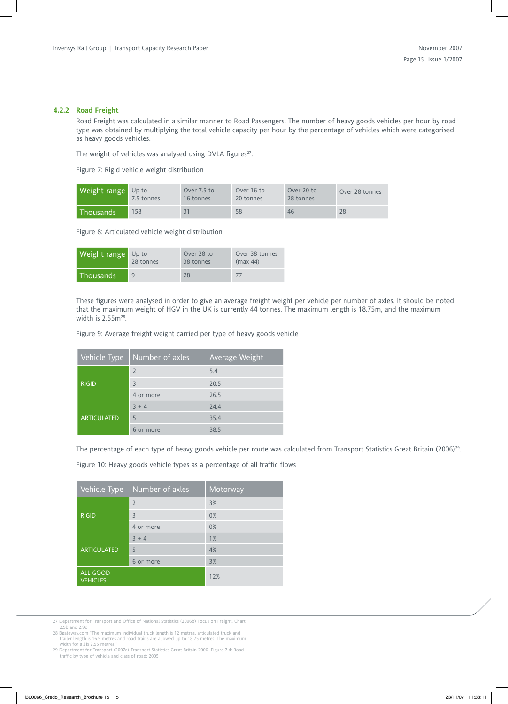## **4.2.2 Road Freight**

Road Freight was calculated in a similar manner to Road Passengers. The number of heavy goods vehicles per hour by road type was obtained by multiplying the total vehicle capacity per hour by the percentage of vehicles which were categorised as heavy goods vehicles.

The weight of vehicles was analysed using DVLA figures<sup>27</sup>:

Figure 7: Rigid vehicle weight distribution

| Weight range Up to | 7.5 tonnes | Over 7.5 to<br>16 tonnes | Over 16 to<br>20 tonnes | Over 20 to<br>28 tonnes | Over 28 tonnes |
|--------------------|------------|--------------------------|-------------------------|-------------------------|----------------|
| <b>Thousands</b>   | 158        |                          | 58                      | 46                      | 28             |

Figure 8: Articulated vehicle weight distribution

| Weight range     | $Up$ to   | Over 28 to | Over 38 tonnes |
|------------------|-----------|------------|----------------|
|                  | 28 tonnes | 38 tonnes  | (max 44)       |
| <b>Thousands</b> | 9         | 28         | 77             |

These figures were analysed in order to give an average freight weight per vehicle per number of axles. It should be noted that the maximum weight of HGV in the UK is currently 44 tonnes. The maximum length is 18.75m, and the maximum width is 2.55m<sup>28</sup>.

Figure 9: Average freight weight carried per type of heavy goods vehicle

| Vehicle Type       | Number of axles | Average Weight |
|--------------------|-----------------|----------------|
|                    | 2               | 5.4            |
| <b>RIGID</b>       | 3               | 20.5           |
|                    | 4 or more       | 26.5           |
|                    | $3 + 4$         | 24.4           |
| <b>ARTICULATED</b> | 5               | 35.4           |
|                    | 6 or more       | 38.5           |

The percentage of each type of heavy goods vehicle per route was calculated from Transport Statistics Great Britain (2006)<sup>29</sup>.

Figure 10: Heavy goods vehicle types as a percentage of all traffic flows

| Vehicle Type                | Number of axles | Motorway |
|-----------------------------|-----------------|----------|
|                             | $\overline{2}$  | 3%       |
| <b>RIGID</b>                | $\overline{3}$  | 0%       |
|                             | 4 or more       | 0%       |
|                             | $3 + 4$         | 1%       |
| <b>ARTICULATED</b>          | 5               | 4%       |
|                             | 6 or more       | 3%       |
| ALL GOOD<br><b>VEHICLES</b> |                 | 12%      |

27 Department for Transport and Office of National Statistics (2006b) Focus on Freight, Chart 2.9b and 2.9c

28 Bgateway.com "The maximum individual truck length is 12 metres, articulated truck and trailer length is 16.5 metres and road trains are allowed up to 18.75 metres. The maximum

width for all is 2.55 metres."<br>29 Department for Transport (2007a) Transport Statistics Great Britain 2006 Figure 7.4: Road<br>traffic by type of vehicle and class of road: 2005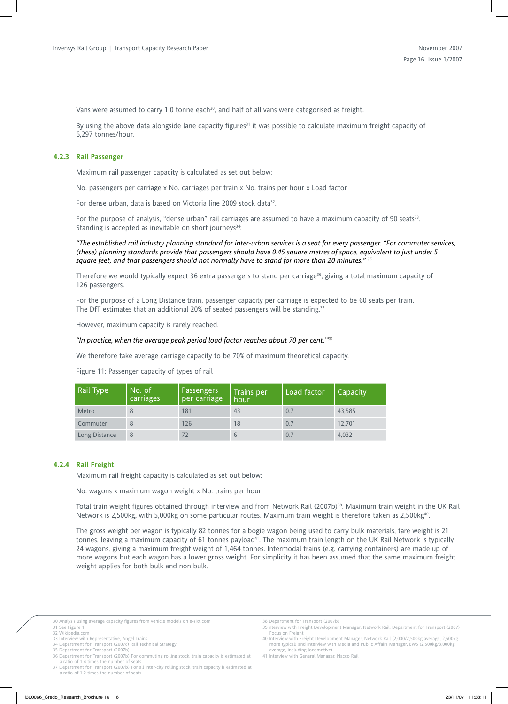Vans were assumed to carry 1.0 tonne each $30$ , and half of all vans were categorised as freight.

By using the above data alongside lane capacity figures<sup>31</sup> it was possible to calculate maximum freight capacity of 6,297 tonnes/hour.

## **4.2.3 Rail Passenger**

Maximum rail passenger capacity is calculated as set out below:

No. passengers per carriage x No. carriages per train x No. trains per hour x Load factor

For dense urban, data is based on Victoria line 2009 stock data<sup>32</sup>.

For the purpose of analysis, "dense urban" rail carriages are assumed to have a maximum capacity of 90 seats<sup>33</sup>. Standing is accepted as inevitable on short journeys $34$ :

*"The established rail industry planning standard for inter-urban services is a seat for every passenger. "For commuter services, (these) planning standards provide that passengers should have 0.45 square metres of space, equivalent to just under 5 square feet, and that passengers should not normally have to stand for more than 20 minutes." 35*

Therefore we would typically expect 36 extra passengers to stand per carriage<sup>36</sup>, giving a total maximum capacity of 126 passengers.

For the purpose of a Long Distance train, passenger capacity per carriage is expected to be 60 seats per train. The DfT estimates that an additional 20% of seated passengers will be standing.<sup>37</sup>

However, maximum capacity is rarely reached.

## *"In practice, when the average peak period load factor reaches about 70 per cent."38*

We therefore take average carriage capacity to be 70% of maximum theoretical capacity.

Figure 11: Passenger capacity of types of rail

| Rail Type     | No. of<br>carriages | <b>Passengers</b><br>per carriage | Trains per<br>hour | Load factor | Capacity |
|---------------|---------------------|-----------------------------------|--------------------|-------------|----------|
| Metro         |                     | 181                               | 43                 | 0.7         | 43.585   |
| Commuter      | 8                   | 126                               | 18                 | 0.7         | 12.701   |
| Long Distance | 8                   | 72                                | $\mathfrak b$      | 0.7         | 4,032    |

#### **4.2.4 Rail Freight**

Maximum rail freight capacity is calculated as set out below:

No. wagons x maximum wagon weight x No. trains per hour

Total train weight figures obtained through interview and from Network Rail (2007b)<sup>39</sup>. Maximum train weight in the UK Rail Network is 2,500kg, with 5,000kg on some particular routes. Maximum train weight is therefore taken as 2,500kg<sup>40</sup>.

The gross weight per wagon is typically 82 tonnes for a bogie wagon being used to carry bulk materials, tare weight is 21 tonnes, leaving a maximum capacity of 61 tonnes payload<sup>41</sup>. The maximum train length on the UK Rail Network is typically 24 wagons, giving a maximum freight weight of 1,464 tonnes. Intermodal trains (e.g. carrying containers) are made up of more wagons but each wagon has a lower gross weight. For simplicity it has been assumed that the same maximum freight weight applies for both bulk and non bulk.

30 Analysis using average capacity figures from vehicle models on e-sixt.com 31 See Figure 1

- 32 Wikipedia.com 33 Interview with Representative, Angel Trains
- 34 Department for Transport (2007c) Rail Technical Strategy 35 Department for Transport (2007b)

a ratio of 1.4 times the number of seats. 37 Department for Transport (2007b) For all inter-city rolling stock, train capacity is estimated at a ratio of 1.2 times the number of seats. 38 Department for Transport (2007b) 39 nterview with Freight Development Manager, Network Rail; Department for Transport (2007)

- Focus on Freight 40 Interview with Freight Development Manager, Network Rail (2,000/2,500kg average, 2,500kg
- more typical) and Interview with Media and Public Affairs Manager, EWS (2,500kg/3,000kg average, including locomotive) 41 Interview with General Manager, Nacco Rail
- 

<sup>36</sup> Department for Transport (2007b) For commuting rolling stock, train capacity is estimated at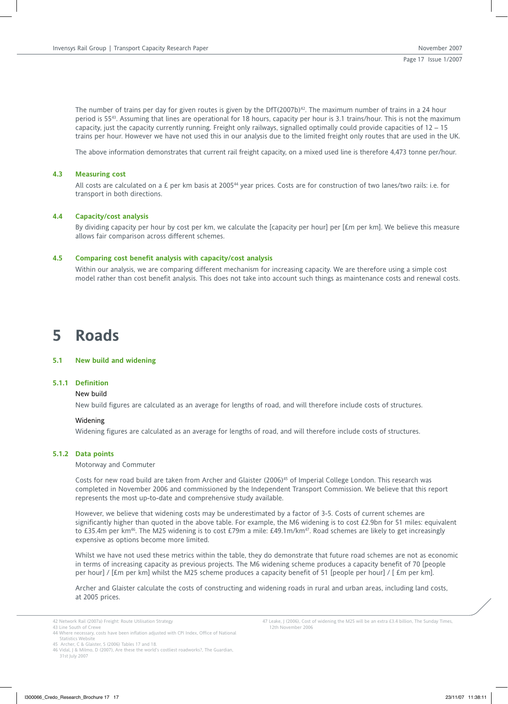The number of trains per day for given routes is given by the DfT(2007b)<sup>42</sup>. The maximum number of trains in a 24 hour period is 5543. Assuming that lines are operational for 18 hours, capacity per hour is 3.1 trains/hour. This is not the maximum capacity, just the capacity currently running. Freight only railways, signalled optimally could provide capacities of 12 – 15 trains per hour. However we have not used this in our analysis due to the limited freight only routes that are used in the UK.

The above information demonstrates that current rail freight capacity, on a mixed used line is therefore 4,473 tonne per/hour.

## **4.3 Measuring cost**

All costs are calculated on a £ per km basis at 2005<sup>44</sup> year prices. Costs are for construction of two lanes/two rails: i.e. for transport in both directions.

## **4.4 Capacity/cost analysis**

By dividing capacity per hour by cost per km, we calculate the [capacity per hour] per [£m per km]. We believe this measure allows fair comparison across different schemes.

## **4.5 Comparing cost benefit analysis with capacity/cost analysis**

Within our analysis, we are comparing different mechanism for increasing capacity. We are therefore using a simple cost model rather than cost benefit analysis. This does not take into account such things as maintenance costs and renewal costs.

## **5 Roads**

### **5.1 New build and widening**

## **5.1.1 Definition**

#### New build

New build figures are calculated as an average for lengths of road, and will therefore include costs of structures.

#### Widening

Widening figures are calculated as an average for lengths of road, and will therefore include costs of structures.

## **5.1.2 Data points**

Motorway and Commuter

Costs for new road build are taken from Archer and Glaister (2006)<sup>45</sup> of Imperial College London. This research was completed in November 2006 and commissioned by the Independent Transport Commission. We believe that this report represents the most up-to-date and comprehensive study available.

However, we believe that widening costs may be underestimated by a factor of 3-5. Costs of current schemes are significantly higher than quoted in the above table. For example, the M6 widening is to cost £2.9bn for 51 miles: equivalent to £35.4m per km<sup>46</sup>. The M25 widening is to cost £79m a mile: £49.1m/km<sup>47</sup>. Road schemes are likely to get increasingly expensive as options become more limited.

Whilst we have not used these metrics within the table, they do demonstrate that future road schemes are not as economic in terms of increasing capacity as previous projects. The M6 widening scheme produces a capacity benefit of 70 [people per hour] / [£m per km] whilst the M25 scheme produces a capacity benefit of 51 [people per hour] / [ £m per km].

Archer and Glaister calculate the costs of constructing and widening roads in rural and urban areas, including land costs, at 2005 prices.

47 Leake, J (2006), Cost of widening the M25 will be an extra £3.4 billion, The Sunday Times, 12th November 2006

<sup>42</sup> Network Rail (2007a) Freight: Route Utilisation Strategy

<sup>43</sup> Line South of Crewe 44 Where necessary, costs have been inflation adjusted with CPI Index, Office of National Statistics Website

<sup>45</sup> Archer, C & Glaister, S (2006) Tables 17 and 18.

<sup>46</sup> Vidal, J & Milmo, D (2007), Are these the world's costliest roadworks?, The Guardian, 31st July 2007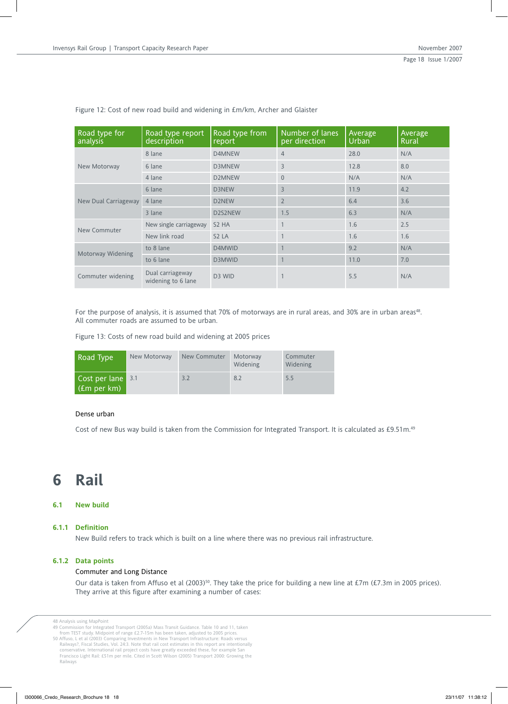| Road type for<br>analysis | Road type report<br>description        | Road type from<br>report | Number of lanes<br>per direction | Average<br><b>Urban</b> | Average<br>Rural |
|---------------------------|----------------------------------------|--------------------------|----------------------------------|-------------------------|------------------|
|                           | 8 lane                                 | D4MNEW                   | $\overline{4}$                   | 28.0                    | N/A              |
| New Motorway              | 6 lane                                 | <b>D3MNEW</b>            | 3                                | 12.8                    | 8.0              |
|                           | 4 lane                                 | <b>D2MNEW</b>            | $\theta$                         | N/A                     | N/A              |
| New Dual Carriageway      | 6 lane                                 | D3NEW                    | 3                                | 11.9                    | 4.2              |
|                           | 4 lane                                 | D2NEW                    | $\overline{2}$                   | 6.4                     | 3.6              |
|                           | 3 lane                                 | D2S2NEW                  | 1.5                              | 6.3                     | N/A              |
| New Commuter              | New single carriageway                 | S <sub>2</sub> HA        |                                  | 1.6                     | 2.5              |
|                           | New link road                          | S <sub>2</sub> LA        |                                  | 1.6                     | 1.6              |
| Motorway Widening         | to 8 lane                              | D4MWID                   |                                  | 9.2                     | N/A              |
|                           | to 6 lane                              | D3MWID                   |                                  | 11.0                    | 7.0              |
| Commuter widening         | Dual carriageway<br>widening to 6 lane | D <sub>3</sub> WID       |                                  | 5.5                     | N/A              |

Figure 12: Cost of new road build and widening in £m/km, Archer and Glaister

For the purpose of analysis, it is assumed that 70% of motorways are in rural areas, and 30% are in urban areas<sup>48</sup>. All commuter roads are assumed to be urban.

Figure 13: Costs of new road build and widening at 2005 prices

| Road Type                          | New Motorway | New Commuter | Motorway<br><b>Widening</b> | Commuter<br><b>Widening</b> |
|------------------------------------|--------------|--------------|-----------------------------|-----------------------------|
| Cost per lane 3.1<br>  (£m per km) |              | 3.2          | 8.2                         | 5.5                         |

## Dense urban

Cost of new Bus way build is taken from the Commission for Integrated Transport. It is calculated as £9.51m.49

## **6 Rail**

## **6.1 New build**

#### **6.1.1 Definition**

New Build refers to track which is built on a line where there was no previous rail infrastructure.

## **6.1.2 Data points**

#### Commuter and Long Distance

Our data is taken from Affuso et al (2003)<sup>50</sup>. They take the price for building a new line at £7m (£7.3m in 2005 prices). They arrive at this figure after examining a number of cases:

<sup>48</sup> Analysis using MapPoint<br>49 Commission for Integrated Transport (2005a) Mass Transit Guidance. Table 10 and 11, taken<br>69 Commission for Integrated Transport (2005a) Mass Transit Guidance. Table 10 and 11, taken<br>69 Affuso Railways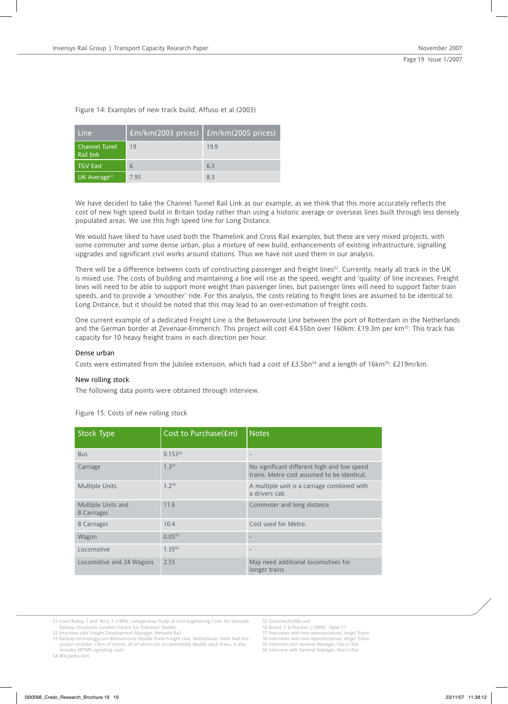| Line                              | $Em/km(2003)$ prices)   £m/km(2005 prices) |      |
|-----------------------------------|--------------------------------------------|------|
| <b>Channel Tunel</b><br>Rail link | 19                                         | 19.9 |
| TGV East                          | 6                                          | 6.3  |
| UK Average <sup>51</sup>          | 7.95                                       | 83   |

## Figure 14: Examples of new track build, Affuso et al (2003)

We have decided to take the Channel Tunnel Rail Link as our example, as we think that this more accurately reflects the cost of new high speed build in Britain today rather than using a historic average or overseas lines built through less densely populated areas. We use this high speed line for Long Distance.

We would have liked to have used both the Thamelink and Cross Rail examples, but these are very mixed projects, with some commuter and some dense urban, plus a mixture of new build, enhancements of existing infrastructure, signalling upgrades and significant civil works around stations. Thus we have not used them in our analysis.

There will be a difference between costs of constructing passenger and freight lines<sup>52</sup>. Currently, nearly all track in the UK is mixed use. The costs of building and maintaining a line will rise as the speed, weight and 'quality' of line increases. Freight lines will need to be able to support more weight than passenger lines, but passenger lines will need to support faster train speeds, and to provide a 'smoother' ride. For this analysis, the costs relating to freight lines are assumed to be identical to Long Distance, but it should be noted that this may lead to an over-estimation of freight costs.

One current example of a dedicated Freight Line is the Betuweroute Line between the port of Rotterdam in the Netherlands and the German border at Zevenaar-Emmerich. This project will cost €4.55bn over 160km: £19.3m per km53. This track has capacity for 10 heavy freight trains in each direction per hour.

#### Dense urban

Costs were estimated from the Jubilee extension, which had a cost of £3.5bn<sup>54</sup> and a length of 16km<sup>55</sup>: £219m/km.

## New rolling stock

The following data points were obtained through interview.

Figure 15: Costs of new rolling stock

| <b>Stock Type</b>                 | Cost to Purchase(£m) | <b>Notes</b>                                                                               |
|-----------------------------------|----------------------|--------------------------------------------------------------------------------------------|
| <b>Bus</b>                        | $0.153^{56}$         | $\overline{\phantom{m}}$                                                                   |
| Carriage                          | 1.357                | No significant different high and low speed<br>trains. Metro cost assumed to be identical. |
| <b>Multiple Units</b>             | 1.758                | A multiple unit is a carriage combined with<br>a drivers cab.                              |
| Multiple Units and<br>8 Carriages | 11.6                 | Commuter and long distance                                                                 |
| 8 Carriages                       | 10.4                 | Cost used for Metro.                                                                       |
| Wagon                             | 0.0559               |                                                                                            |
| Locomotive                        | $1.35^{60}$          | $\overline{\phantom{m}}$                                                                   |
| Locomotive and 24 Wagons          | 2.55                 | May need additional locomotives for<br>longer trains                                       |

51 From Ridley, T and Terry, F (1993), comparative Study of Civil Engineering Costs for Selected Railway Structures, London: Centre for Transport Studies

52 Interview with Freight Development Manager, Network Rail 53 Railway-technology.com Betuweroute Double-Track Freight Line, Netherlands. Note that this

54 Wikipedia.com

55 Greenwich2000.com 56 Brand, C & Preston, J (2005) Table 11

- 
- 57 Interviews with two representatives, Angel Trains 58 Interviews with two representatives, Angel Trains

59 Interview with General Manager, Nacco Rail

60 Interview with General Manager, Nacco Rail

project includes 17km of tunnel, all of which can accommodate double stack trains. It also includes ERTMS signalling costs.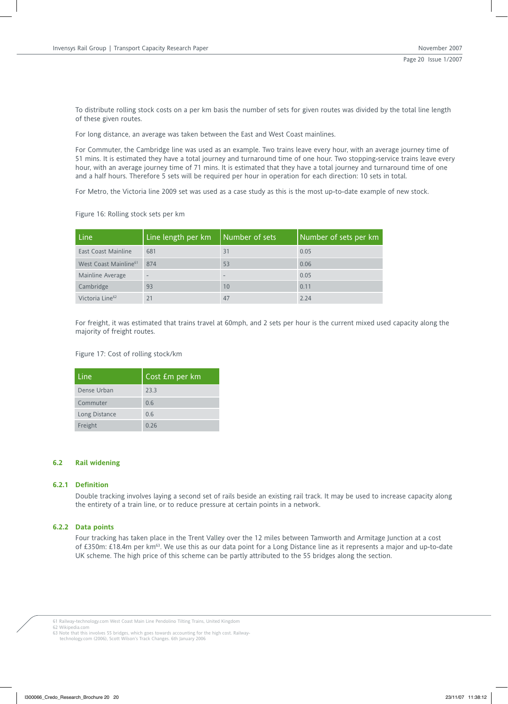To distribute rolling stock costs on a per km basis the number of sets for given routes was divided by the total line length of these given routes.

For long distance, an average was taken between the East and West Coast mainlines.

For Commuter, the Cambridge line was used as an example. Two trains leave every hour, with an average journey time of 51 mins. It is estimated they have a total journey and turnaround time of one hour. Two stopping-service trains leave every hour, with an average journey time of 71 mins. It is estimated that they have a total journey and turnaround time of one and a half hours. Therefore 5 sets will be required per hour in operation for each direction: 10 sets in total.

For Metro, the Victoria line 2009 set was used as a case study as this is the most up-to-date example of new stock.

Figure 16: Rolling stock sets per km

| Line                              | Line length per km | Number of sets | Number of sets per km |
|-----------------------------------|--------------------|----------------|-----------------------|
| East Coast Mainline               | 681                | 31             | 0.05                  |
| West Coast Mainline <sup>61</sup> | 874                | 53             | 0.06                  |
| Mainline Average                  | -                  |                | 0.05                  |
| Cambridge                         | 93                 | 10             | 0.11                  |
| Victoria Line <sup>62</sup>       |                    | 47             | 2.24                  |

For freight, it was estimated that trains travel at 60mph, and 2 sets per hour is the current mixed used capacity along the majority of freight routes.

Figure 17: Cost of rolling stock/km

| Line          | Cost £m per km |
|---------------|----------------|
| Dense Urban   | 23.3           |
| Commuter      | 0.6            |
| Long Distance | 0.6            |
| Freight       | 0.26           |

## **6.2 Rail widening**

### **6.2.1 Definition**

Double tracking involves laying a second set of rails beside an existing rail track. It may be used to increase capacity along the entirety of a train line, or to reduce pressure at certain points in a network.

## **6.2.2 Data points**

Four tracking has taken place in the Trent Valley over the 12 miles between Tamworth and Armitage Junction at a cost of £350m: £18.4m per km63. We use this as our data point for a Long Distance line as it represents a major and up-to-date UK scheme. The high price of this scheme can be partly attributed to the 55 bridges along the section.

61 Railway-technology.com West Coast Main Line Pendolino Tilting Trains, United Kingdom 62 Wikipedia.com

63 Note that this involves 55 bridges, which goes towards accounting for the high cost. Railway-technology.com (2006), Scott Wilson's Track Changes. 6th January 2006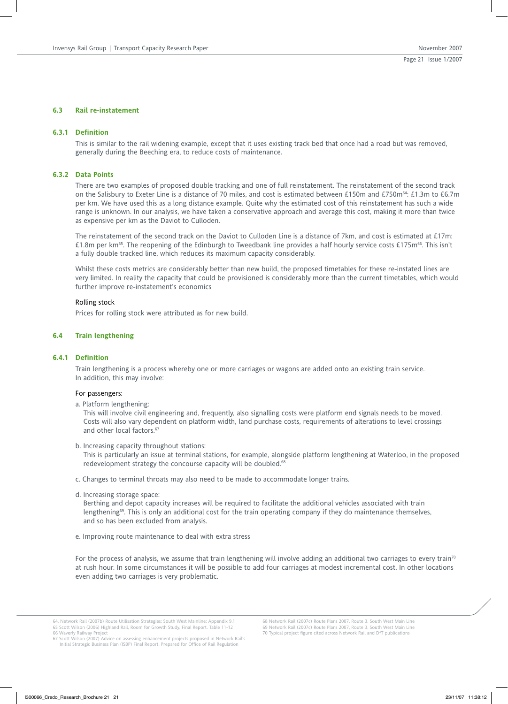## **6.3 Rail re-instatement**

#### **6.3.1 Definition**

This is similar to the rail widening example, except that it uses existing track bed that once had a road but was removed, generally during the Beeching era, to reduce costs of maintenance.

## **6.3.2 Data Points**

There are two examples of proposed double tracking and one of full reinstatement. The reinstatement of the second track on the Salisbury to Exeter Line is a distance of 70 miles, and cost is estimated between £150m and £750m<sup>64</sup>: £1.3m to £6.7m per km. We have used this as a long distance example. Quite why the estimated cost of this reinstatement has such a wide range is unknown. In our analysis, we have taken a conservative approach and average this cost, making it more than twice as expensive per km as the Daviot to Culloden.

The reinstatement of the second track on the Daviot to Culloden Line is a distance of 7km, and cost is estimated at £17m: £1.8m per km<sup>65</sup>. The reopening of the Edinburgh to Tweedbank line provides a half hourly service costs £175m<sup>66</sup>. This isn't a fully double tracked line, which reduces its maximum capacity considerably.

Whilst these costs metrics are considerably better than new build, the proposed timetables for these re-instated lines are very limited. In reality the capacity that could be provisioned is considerably more than the current timetables, which would further improve re-instatement's economics

#### Rolling stock

Prices for rolling stock were attributed as for new build.

### **6.4 Train lengthening**

#### **6.4.1 Definition**

Train lengthening is a process whereby one or more carriages or wagons are added onto an existing train service. In addition, this may involve:

#### For passengers:

a. Platform lengthening:

This will involve civil engineering and, frequently, also signalling costs were platform end signals needs to be moved. Costs will also vary dependent on platform width, land purchase costs, requirements of alterations to level crossings and other local factors.<sup>67</sup>

b. Increasing capacity throughout stations:

This is particularly an issue at terminal stations, for example, alongside platform lengthening at Waterloo, in the proposed redevelopment strategy the concourse capacity will be doubled.<sup>68</sup>

c. Changes to terminal throats may also need to be made to accommodate longer trains.

d. Increasing storage space:

Berthing and depot capacity increases will be required to facilitate the additional vehicles associated with train lengthening<sup>69</sup>. This is only an additional cost for the train operating company if they do maintenance themselves, and so has been excluded from analysis.

e. Improving route maintenance to deal with extra stress

For the process of analysis, we assume that train lengthening will involve adding an additional two carriages to every train<sup>70</sup> at rush hour. In some circumstances it will be possible to add four carriages at modest incremental cost. In other locations even adding two carriages is very problematic.

<sup>64.</sup> Network Rail (2007b) Route Utilisation Strategies: South West Mainline: Appendix 9.1 65 Scott Wilson (2006) Highland Rail, Room for Growth Study, Final Report. Table 11-12

<sup>66</sup> Waverly Railway Project 67 Scott Wilson (2007) Advice on assessing enhancement projects proposed in Network Rail's Initial Strategic Business Plan (ISBP) Final Report. Prepared for Office of Rail Regulation

<sup>68</sup> Network Rail (2007c) Route Plans 2007, Route 3, South West Main Line 69 Network Rail (2007c) Route Plans 2007, Route 3, South West Main Line 70 Typical project figure cited across Network Rail and DfT publications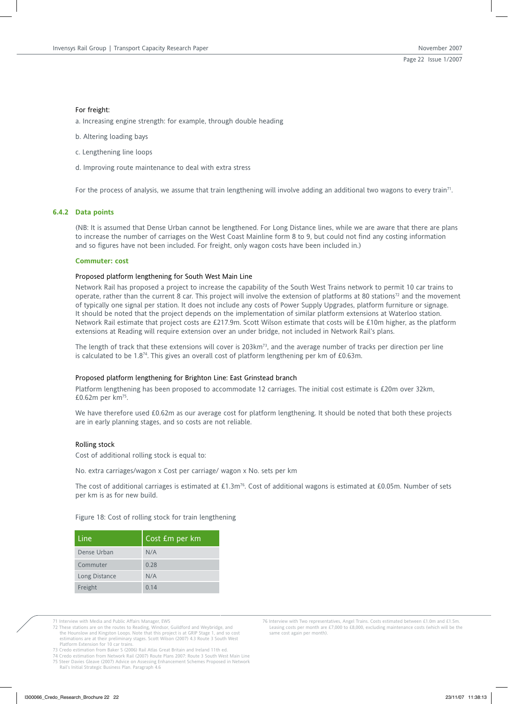#### For freight:

a. Increasing engine strength: for example, through double heading

- b. Altering loading bays
- c. Lengthening line loops
- d. Improving route maintenance to deal with extra stress

For the process of analysis, we assume that train lengthening will involve adding an additional two wagons to every train<sup>71</sup>.

## **6.4.2 Data points**

(NB: It is assumed that Dense Urban cannot be lengthened. For Long Distance lines, while we are aware that there are plans to increase the number of carriages on the West Coast Mainline form 8 to 9, but could not find any costing information and so figures have not been included. For freight, only wagon costs have been included in.)

#### **Commuter: cost**

#### Proposed platform lengthening for South West Main Line

Network Rail has proposed a project to increase the capability of the South West Trains network to permit 10 car trains to operate, rather than the current 8 car. This project will involve the extension of platforms at 80 stations<sup>72</sup> and the movement of typically one signal per station. It does not include any costs of Power Supply Upgrades, platform furniture or signage. It should be noted that the project depends on the implementation of similar platform extensions at Waterloo station. Network Rail estimate that project costs are £217.9m. Scott Wilson estimate that costs will be £10m higher, as the platform extensions at Reading will require extension over an under bridge, not included in Network Rail's plans.

The length of track that these extensions will cover is 203km<sup>73</sup>, and the average number of tracks per direction per line is calculated to be 1.874. This gives an overall cost of platform lengthening per km of £0.63m.

## Proposed platform lengthening for Brighton Line: East Grinstead branch

Platform lengthening has been proposed to accommodate 12 carriages. The initial cost estimate is £20m over 32km, £0.62m per km75.

We have therefore used £0.62m as our average cost for platform lengthening. It should be noted that both these projects are in early planning stages, and so costs are not reliable.

### Rolling stock

Cost of additional rolling stock is equal to:

No. extra carriages/wagon x Cost per carriage/ wagon x No. sets per km

The cost of additional carriages is estimated at £1.3m<sup>76</sup>. Cost of additional wagons is estimated at £0.05m. Number of sets per km is as for new build.

Figure 18: Cost of rolling stock for train lengthening

| Line          | Cost £m per km |
|---------------|----------------|
| Dense Urban   | N/A            |
| Commuter      | 0.28           |
| Long Distance | N/A            |
| Freight       | 0.14           |

- 
- 71 Interview with Media and Public Affairs Manager, EWS 72 These stations are on the routes to Reading, Windsor, Guildford and Weybridge, and the Hounslow and Kingston Loops. Note that this project is at GRIP Stage 1, and so cost estimations are at their preliminary stages. Scott Wilson (2007) 4.3 Route 3 South West Platform Extension for 10 car trains.
- 75 Steer Davies Gleave (2007) Advice on Assessing Enhancement Schemes Proposed in Network Rail's Initial Strategic Business Plan. Paragraph 4.6
- 76 Interview with Two representatives, Angel Trains. Costs estimated between £1.0m and £1.5m. Leasing costs per month are £7,000 to £8,000, excluding maintenance costs (which will be the same cost again per month).

<sup>73</sup> Credo estimation from Baker S (2006) Rail Atlas Great Britain and Ireland 11th ed. 74 Credo estimation from Network Rail (2007) Route Plans 2007: Route 3 South West Main Line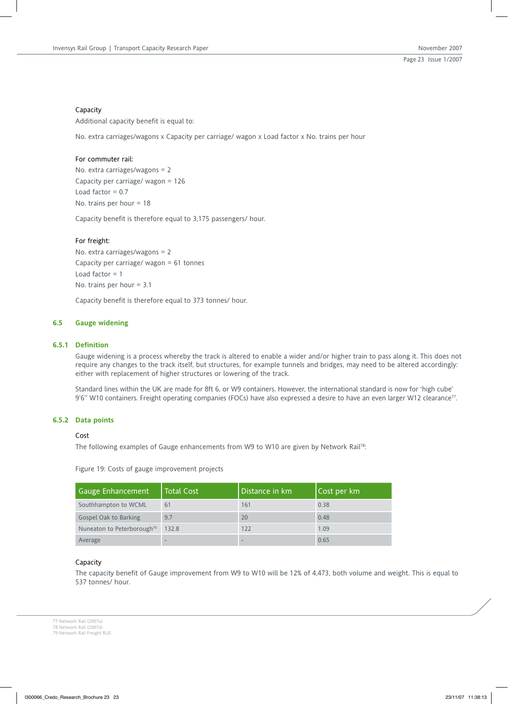## Capacity

Additional capacity benefit is equal to:

No. extra carriages/wagons x Capacity per carriage/ wagon x Load factor x No. trains per hour

## For commuter rail:

No. extra carriages/wagons = 2 Capacity per carriage/ wagon = 126 Load factor  $= 0.7$ No. trains per hour = 18

Capacity benefit is therefore equal to 3,175 passengers/ hour.

## For freight:

No. extra carriages/wagons = 2 Capacity per carriage/ wagon = 61 tonnes Load factor  $= 1$ No. trains per hour = 3.1

Capacity benefit is therefore equal to 373 tonnes/ hour.

## **6.5 Gauge widening**

## **6.5.1 Definition**

Gauge widening is a process whereby the track is altered to enable a wider and/or higher train to pass along it. This does not require any changes to the track itself, but structures, for example tunnels and bridges, may need to be altered accordingly: either with replacement of higher structures or lowering of the track.

Standard lines within the UK are made for 8ft 6, or W9 containers. However, the international standard is now for 'high cube' 9'6" W10 containers. Freight operating companies (FOCs) have also expressed a desire to have an even larger W12 clearance<sup>77</sup>.

## **6.5.2 Data points**

#### Cost

The following examples of Gauge enhancements from W9 to W10 are given by Network Rail<sup>78</sup>:

Figure 19: Costs of gauge improvement projects

| <b>Gauge Enhancement</b>               | <b>Total Cost</b> | Distance in km | Cost per km |
|----------------------------------------|-------------------|----------------|-------------|
| Southhampton to WCML                   | 61                | 161            | 0.38        |
| Gospel Oak to Barking                  | 9.7               | 20             | 0.48        |
| Nuneaton to Peterborough <sup>79</sup> | 132.8             | 122            | 1.09        |
| Average                                |                   |                | 0.65        |

## Capacity

The capacity benefit of Gauge improvement from W9 to W10 will be 12% of 4,473, both volume and weight. This is equal to 537 tonnes/ hour.

77 Network Rail (2007a) 78 Network Rail (2007a) 79 Network Rail Freight RUS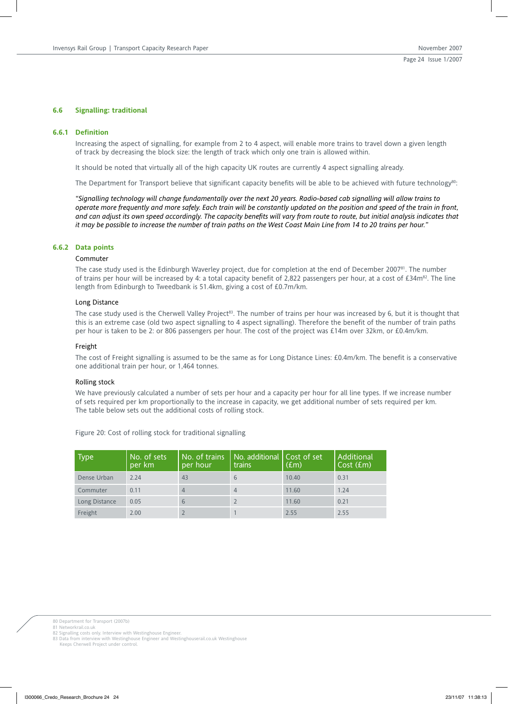## **6.6 Signalling: traditional**

#### **6.6.1 Definition**

Increasing the aspect of signalling, for example from 2 to 4 aspect, will enable more trains to travel down a given length of track by decreasing the block size: the length of track which only one train is allowed within.

It should be noted that virtually all of the high capacity UK routes are currently 4 aspect signalling already.

The Department for Transport believe that significant capacity benefits will be able to be achieved with future technology<sup>80</sup>:

*"Signalling technology will change fundamentally over the next 20 years. Radio-based cab signalling will allow trains to operate more frequently and more safely. Each train will be constantly updated on the position and speed of the train in front, and can adjust its own speed accordingly. The capacity benefits will vary from route to route, but initial analysis indicates that it may be possible to increase the number of train paths on the West Coast Main Line from 14 to 20 trains per hour."*

## **6.6.2 Data points**

#### Commuter

The case study used is the Edinburgh Waverley project, due for completion at the end of December 2007<sup>81</sup>. The number of trains per hour will be increased by 4: a total capacity benefit of 2,822 passengers per hour, at a cost of £34m<sup>82</sup>. The line length from Edinburgh to Tweedbank is 51.4km, giving a cost of £0.7m/km.

#### Long Distance

The case study used is the Cherwell Valley Project<sup>83</sup>. The number of trains per hour was increased by 6, but it is thought that this is an extreme case (old two aspect signalling to 4 aspect signalling). Therefore the benefit of the number of train paths per hour is taken to be 2: or 806 passengers per hour. The cost of the project was £14m over 32km, or £0.4m/km.

#### Freight

The cost of Freight signalling is assumed to be the same as for Long Distance Lines: £0.4m/km. The benefit is a conservative one additional train per hour, or 1,464 tonnes.

## Rolling stock

We have previously calculated a number of sets per hour and a capacity per hour for all line types. If we increase number of sets required per km proportionally to the increase in capacity, we get additional number of sets required per km. The table below sets out the additional costs of rolling stock.

| <b>Type</b>   | No. of sets<br>per km | No. of trains<br>per hour | No. additional Cost of set<br>trains | (f.m) | Additional<br>Cost (£m) |
|---------------|-----------------------|---------------------------|--------------------------------------|-------|-------------------------|
| Dense Urban   | 2.24                  | 43                        | 6                                    | 10.40 | 0.31                    |
| Commuter      | 0.11                  | 4                         | $\Delta$                             | 11.60 | 1.24                    |
| Long Distance | 0.05                  | 6                         |                                      | 11.60 | 0.21                    |
| Freight       | 2.00                  |                           |                                      | 2.55  | 2.55                    |

Figure 20: Cost of rolling stock for traditional signalling

80 Department for Transport (2007b)

81 Networkrail.co.uk

82 Signalling costs only. Interview with Westinghouse Engineer. 83 Data from interview with Westinghouse Engineer and Westinghouserail.co.uk Westinghouse

Keeps Cherwell Project under control.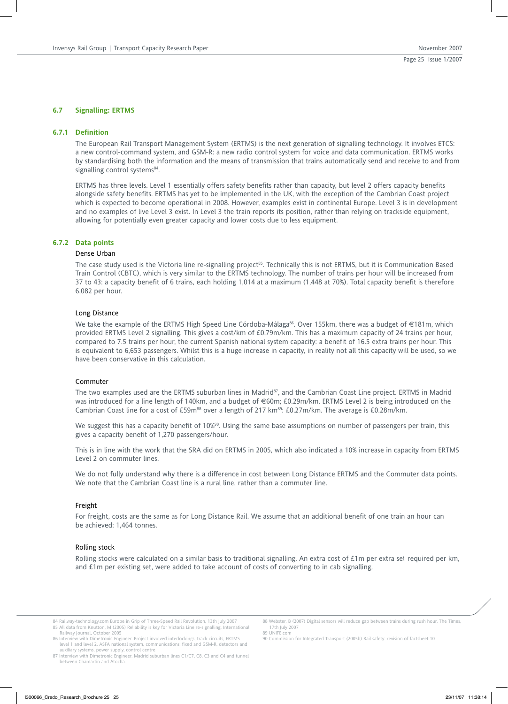## **6.7 Signalling: ERTMS**

#### **6.7.1 Definition**

The European Rail Transport Management System (ERTMS) is the next generation of signalling technology. It involves ETCS: a new control-command system, and GSM-R: a new radio control system for voice and data communication. ERTMS works by standardising both the information and the means of transmission that trains automatically send and receive to and from signalling control systems<sup>84</sup>.

ERTMS has three levels. Level 1 essentially offers safety benefits rather than capacity, but level 2 offers capacity benefits alongside safety benefits. ERTMS has yet to be implemented in the UK, with the exception of the Cambrian Coast project which is expected to become operational in 2008. However, examples exist in continental Europe. Level 3 is in development and no examples of live Level 3 exist. In Level 3 the train reports its position, rather than relying on trackside equipment, allowing for potentially even greater capacity and lower costs due to less equipment.

## **6.7.2 Data points**

#### Dense Urban

The case study used is the Victoria line re-signalling project<sup>85</sup>. Technically this is not ERTMS, but it is Communication Based Train Control (CBTC), which is very similar to the ERTMS technology. The number of trains per hour will be increased from 37 to 43: a capacity benefit of 6 trains, each holding 1,014 at a maximum (1,448 at 70%). Total capacity benefit is therefore 6,082 per hour.

#### Long Distance

We take the example of the ERTMS High Speed Line Córdoba-Málaga<sup>86</sup>. Over 155km, there was a budget of €181m, which provided ERTMS Level 2 signalling. This gives a cost/km of £0.79m/km. This has a maximum capacity of 24 trains per hour, compared to 7.5 trains per hour, the current Spanish national system capacity: a benefit of 16.5 extra trains per hour. This is equivalent to 6,653 passengers. Whilst this is a huge increase in capacity, in reality not all this capacity will be used, so we have been conservative in this calculation.

#### Commuter

The two examples used are the ERTMS suburban lines in Madrid<sup>87</sup>, and the Cambrian Coast Line project. ERTMS in Madrid was introduced for a line length of 140km, and a budget of €60m; £0.29m/km. ERTMS Level 2 is being introduced on the Cambrian Coast line for a cost of £59m<sup>88</sup> over a length of 217 km<sup>89</sup>: £0.27m/km. The average is £0.28m/km.

We suggest this has a capacity benefit of 10%<sup>90</sup>. Using the same base assumptions on number of passengers per train, this gives a capacity benefit of 1,270 passengers/hour.

This is in line with the work that the SRA did on ERTMS in 2005, which also indicated a 10% increase in capacity from ERTMS Level 2 on commuter lines.

We do not fully understand why there is a difference in cost between Long Distance ERTMS and the Commuter data points. We note that the Cambrian Coast line is a rural line, rather than a commuter line.

#### Freight

For freight, costs are the same as for Long Distance Rail. We assume that an additional benefit of one train an hour can be achieved: 1,464 tonnes.

#### Rolling stock

Rolling stocks were calculated on a similar basis to traditional signalling. An extra cost of £1m per extra set required per km, and £1m per existing set, were added to take account of costs of converting to in cab signalling.

84 Railway-technology.com Europe in Grip of Three-Speed Rail Revolution, 13th July 2007 85 All data from Knutton, M (2005) Reliability is key for Victoria Line re-signalling. International Railway Journal, October 2005

86 Interview with Dimetronic Engineer. Project involved interlockings, track circuits, ERTMS level 1 and level 2, ASFA national system, communications: fixed and GSM-R, detectors and<br>auxiliary systems, power supply, control centre<br>87 Interview with Dimetronic Engineer. Madrid suburban lines C1/C7, C8, C3 and C4 an 88 Webster, B (2007) Digital sensors will reduce gap between trains during rush hour, The Times, 17th July 2007 89 UNIFE.com

90 Commission for Integrated Transport (2005b) Rail safety: revision of factsheet 10

between Chamartin and Atocha.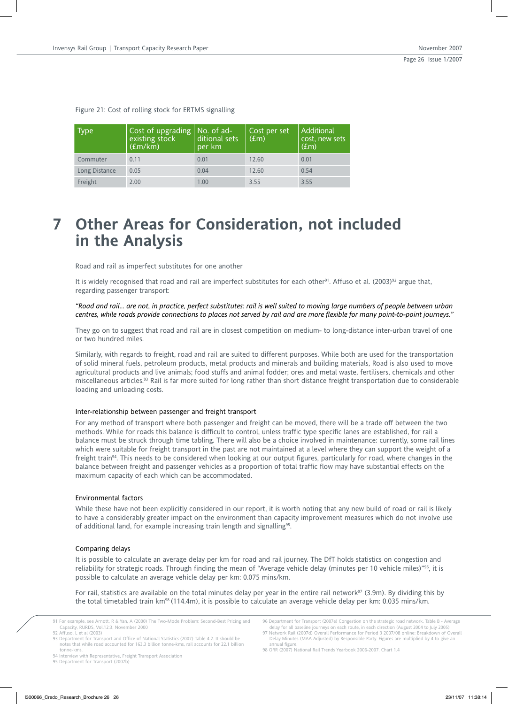| Type          | Cost of upgrading $\vert$ No. of ad-<br>existing stock<br>E(m/km) | ditional sets<br>per km | Cost per set<br>$\vert$ (£m) | Additional<br>cost, new sets<br>(f <sub>cm</sub> ) |
|---------------|-------------------------------------------------------------------|-------------------------|------------------------------|----------------------------------------------------|
| Commuter      | 0.11                                                              | 0.01                    | 12.60                        | 0.01                                               |
| Long Distance | 0.05                                                              | 0.04                    | 12.60                        | 0.54                                               |
| Freight       | 2.00                                                              | 1.00                    | 3.55                         | 3.55                                               |

Figure 21: Cost of rolling stock for ERTMS signalling

## **7 Other Areas for Consideration, not included in the Analysis**

Road and rail as imperfect substitutes for one another

It is widely recognised that road and rail are imperfect substitutes for each other<sup>91</sup>. Affuso et al. (2003)<sup>92</sup> argue that, regarding passenger transport:

*"Road and rail... are not, in practice, perfect substitutes: rail is well suited to moving large numbers of people between urban centres, while roads provide connections to places not served by rail and are more flexible for many point-to-point journeys."*

They go on to suggest that road and rail are in closest competition on medium- to long-distance inter-urban travel of one or two hundred miles.

Similarly, with regards to freight, road and rail are suited to different purposes. While both are used for the transportation of solid mineral fuels, petroleum products, metal products and minerals and building materials, Road is also used to move agricultural products and live animals; food stuffs and animal fodder; ores and metal waste, fertilisers, chemicals and other miscellaneous articles.93 Rail is far more suited for long rather than short distance freight transportation due to considerable loading and unloading costs.

#### Inter-relationship between passenger and freight transport

For any method of transport where both passenger and freight can be moved, there will be a trade off between the two methods. While for roads this balance is difficult to control, unless traffic type specific lanes are established, for rail a balance must be struck through time tabling. There will also be a choice involved in maintenance: currently, some rail lines which were suitable for freight transport in the past are not maintained at a level where they can support the weight of a freight train<sup>94</sup>. This needs to be considered when looking at our output figures, particularly for road, where changes in the balance between freight and passenger vehicles as a proportion of total traffic flow may have substantial effects on the maximum capacity of each which can be accommodated.

#### Environmental factors

While these have not been explicitly considered in our report, it is worth noting that any new build of road or rail is likely to have a considerably greater impact on the environment than capacity improvement measures which do not involve use of additional land, for example increasing train length and signalling<sup>95</sup>.

## Comparing delays

It is possible to calculate an average delay per km for road and rail journey. The DfT holds statistics on congestion and reliability for strategic roads. Through finding the mean of "Average vehicle delay (minutes per 10 vehicle miles)"96, it is possible to calculate an average vehicle delay per km: 0.075 mins/km.

For rail, statistics are available on the total minutes delay per year in the entire rail network $97$  (3.9m). By dividing this by the total timetabled train km98 (114.4m), it is possible to calculate an average vehicle delay per km: 0.035 mins/km.

<sup>91</sup> For example, see Arnott, R & Yan, A (2000) The Two-Mode Problem: Second-Best Pricing and Capacity, RURDS, Vol.12:3, November 2000 92 Affuso, L et al (2003) 93 Department for Transport and Office of National Statistics (2007) Table 4.2. It should be

notes that while road accounted for 163.3 billion tonne-kms, rail accounts for 22.1 billion tonne-kms.

<sup>94</sup> Interview with Representative, Freight Transport Association

<sup>95</sup> Department for Transport (2007b)

<sup>96</sup> Department for Transport (2007e) Congestion on the strategic road network. Table B - Average delay for all baseline journeys on each route, in each direction (August 2004 to July 2005)

<sup>97</sup> Network Rail (2007d) Overall Performance for Period 3 2007/08 online: Breakdown of Overall Delay Minutes (MAA Adjusted) by Responsible Party. Figures are multiplied by 4 to give an annual figure.

<sup>98</sup> ORR (2007) National Rail Trends Yearbook 2006-2007. Chart 1.4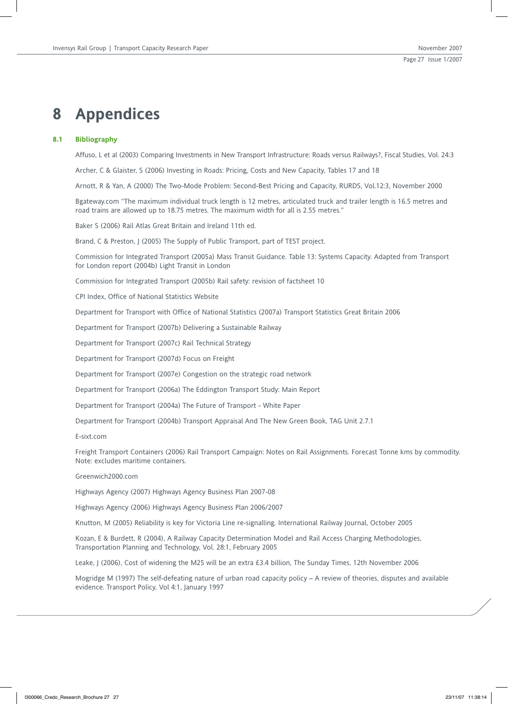## **8 Appendices**

## **8.1 Bibliography**

Affuso, L et al (2003) Comparing Investments in New Transport Infrastructure: Roads versus Railways?, Fiscal Studies, Vol. 24:3

Archer, C & Glaister, S (2006) Investing in Roads: Pricing, Costs and New Capacity, Tables 17 and 18

Arnott, R & Yan, A (2000) The Two-Mode Problem: Second-Best Pricing and Capacity, RURDS, Vol.12:3, November 2000

Bgateway.com "The maximum individual truck length is 12 metres, articulated truck and trailer length is 16.5 metres and road trains are allowed up to 18.75 metres. The maximum width for all is 2.55 metres."

Baker S (2006) Rail Atlas Great Britain and Ireland 11th ed.

Brand, C & Preston, J (2005) The Supply of Public Transport, part of TEST project.

Commission for Integrated Transport (2005a) Mass Transit Guidance. Table 13: Systems Capacity. Adapted from Transport for London report (2004b) Light Transit in London

Commission for Integrated Transport (2005b) Rail safety: revision of factsheet 10

CPI Index, Office of National Statistics Website

Department for Transport with Office of National Statistics (2007a) Transport Statistics Great Britain 2006

Department for Transport (2007b) Delivering a Sustainable Railway

Department for Transport (2007c) Rail Technical Strategy

Department for Transport (2007d) Focus on Freight

Department for Transport (2007e) Congestion on the strategic road network

Department for Transport (2006a) The Eddington Transport Study: Main Report

Department for Transport (2004a) The Future of Transport - White Paper

Department for Transport (2004b) Transport Appraisal And The New Green Book, TAG Unit 2.7.1

E-sixt.com

Freight Transport Containers (2006) Rail Transport Campaign: Notes on Rail Assignments. Forecast Tonne kms by commodity. Note: excludes maritime containers.

Greenwich2000.com

Highways Agency (2007) Highways Agency Business Plan 2007-08

Highways Agency (2006) Highways Agency Business Plan 2006/2007

Knutton, M (2005) Reliability is key for Victoria Line re-signalling. International Railway Journal, October 2005

Kozan, E & Burdett, R (2004), A Railway Capacity Determination Model and Rail Access Charging Methodologies, Transportation Planning and Technology, Vol. 28:1, February 2005

Leake, J (2006), Cost of widening the M25 will be an extra £3.4 billion, The Sunday Times, 12th November 2006

Mogridge M (1997) The self-defeating nature of urban road capacity policy – A review of theories, disputes and available evidence. Transport Policy, Vol 4:1, January 1997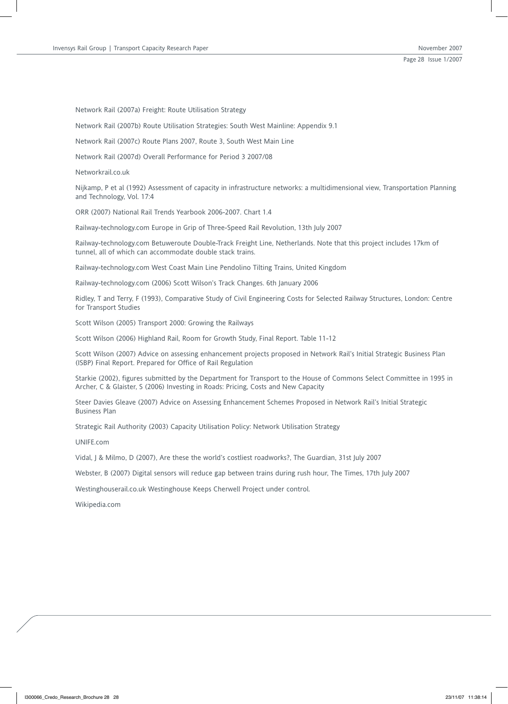Network Rail (2007a) Freight: Route Utilisation Strategy

Network Rail (2007b) Route Utilisation Strategies: South West Mainline: Appendix 9.1

Network Rail (2007c) Route Plans 2007, Route 3, South West Main Line

Network Rail (2007d) Overall Performance for Period 3 2007/08

Networkrail.co.uk

Nijkamp, P et al (1992) Assessment of capacity in infrastructure networks: a multidimensional view, Transportation Planning and Technology, Vol. 17:4

ORR (2007) National Rail Trends Yearbook 2006-2007. Chart 1.4

Railway-technology.com Europe in Grip of Three-Speed Rail Revolution, 13th July 2007

Railway-technology.com Betuweroute Double-Track Freight Line, Netherlands. Note that this project includes 17km of tunnel, all of which can accommodate double stack trains.

Railway-technology.com West Coast Main Line Pendolino Tilting Trains, United Kingdom

Railway-technology.com (2006) Scott Wilson's Track Changes. 6th January 2006

Ridley, T and Terry, F (1993), Comparative Study of Civil Engineering Costs for Selected Railway Structures, London: Centre for Transport Studies

Scott Wilson (2005) Transport 2000: Growing the Railways

Scott Wilson (2006) Highland Rail, Room for Growth Study, Final Report. Table 11-12

Scott Wilson (2007) Advice on assessing enhancement projects proposed in Network Rail's Initial Strategic Business Plan (ISBP) Final Report. Prepared for Office of Rail Regulation

Starkie (2002), figures submitted by the Department for Transport to the House of Commons Select Committee in 1995 in Archer, C & Glaister, S (2006) Investing in Roads: Pricing, Costs and New Capacity

Steer Davies Gleave (2007) Advice on Assessing Enhancement Schemes Proposed in Network Rail's Initial Strategic Business Plan

Strategic Rail Authority (2003) Capacity Utilisation Policy: Network Utilisation Strategy

UNIFE.com

Vidal, J & Milmo, D (2007), Are these the world's costliest roadworks?, The Guardian, 31st July 2007

Webster, B (2007) Digital sensors will reduce gap between trains during rush hour, The Times, 17th July 2007

Westinghouserail.co.uk Westinghouse Keeps Cherwell Project under control.

Wikipedia.com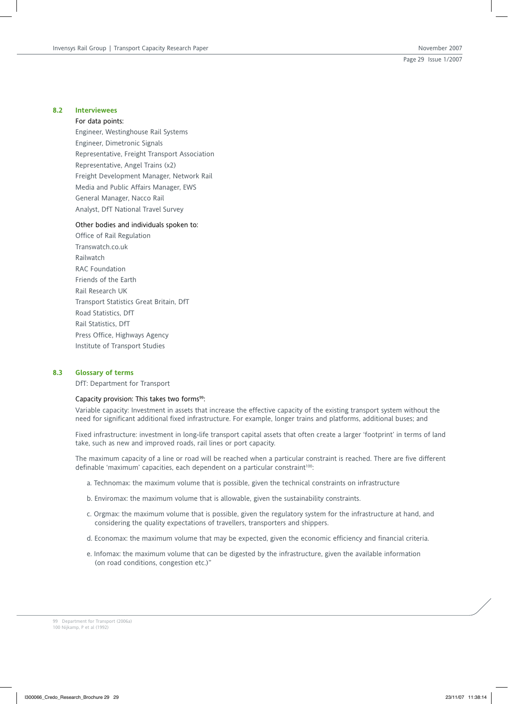#### **8.2 Interviewees**

#### For data points:

Engineer, Westinghouse Rail Systems Engineer, Dimetronic Signals Representative, Freight Transport Association Representative, Angel Trains (x2) Freight Development Manager, Network Rail Media and Public Affairs Manager, EWS General Manager, Nacco Rail Analyst, DfT National Travel Survey

#### Other bodies and individuals spoken to:

Office of Rail Regulation Transwatch.co.uk Railwatch RAC Foundation Friends of the Earth Rail Research UK Transport Statistics Great Britain, DfT Road Statistics, DfT Rail Statistics, DfT Press Office, Highways Agency Institute of Transport Studies

## **8.3 Glossary of terms**

DfT: Department for Transport

### Capacity provision: This takes two forms<sup>99</sup>:

Variable capacity: Investment in assets that increase the effective capacity of the existing transport system without the need for significant additional fixed infrastructure. For example, longer trains and platforms, additional buses; and

Fixed infrastructure: investment in long-life transport capital assets that often create a larger 'footprint' in terms of land take, such as new and improved roads, rail lines or port capacity.

The maximum capacity of a line or road will be reached when a particular constraint is reached. There are five different definable 'maximum' capacities, each dependent on a particular constraint<sup>100</sup>:

- a. Technomax: the maximum volume that is possible, given the technical constraints on infrastructure
- b. Enviromax: the maximum volume that is allowable, given the sustainability constraints.
- c. Orgmax: the maximum volume that is possible, given the regulatory system for the infrastructure at hand, and considering the quality expectations of travellers, transporters and shippers.
- d. Economax: the maximum volume that may be expected, given the economic efficiency and financial criteria.
- e. Infomax: the maximum volume that can be digested by the infrastructure, given the available information (on road conditions, congestion etc.)"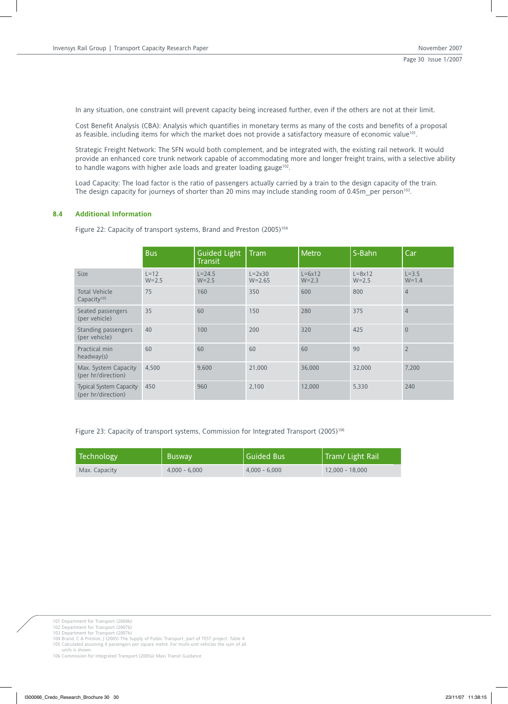In any situation, one constraint will prevent capacity being increased further, even if the others are not at their limit.

Cost Benefit Analysis (CBA): Analysis which quantifies in monetary terms as many of the costs and benefits of a proposal as feasible, including items for which the market does not provide a satisfactory measure of economic value<sup>101</sup>.

Strategic Freight Network: The SFN would both complement, and be integrated with, the existing rail network. It would provide an enhanced core trunk network capable of accommodating more and longer freight trains, with a selective ability to handle wagons with higher axle loads and greater loading gauge<sup>102</sup>.

Load Capacity: The load factor is the ratio of passengers actually carried by a train to the design capacity of the train. The design capacity for journeys of shorter than 20 mins may include standing room of 0.45m\_per person<sup>103</sup>.

## **8.4 Additional Information**

Figure 22: Capacity of transport systems, Brand and Preston (2005)<sup>104</sup>

|                                                      | <b>Bus</b>          | Guided Light<br><b>Transit</b> | <b>Tram</b>                     | Metro                      | S-Bahn                         | Car                    |
|------------------------------------------------------|---------------------|--------------------------------|---------------------------------|----------------------------|--------------------------------|------------------------|
| <b>Size</b>                                          | $L=12$<br>$W = 2.5$ | $L = 24.5$<br>$W = 2.5$        | $L = 2 \times 30$<br>$W = 2.65$ | $L=6\times12$<br>$W = 2.3$ | $L = 8 \times 12$<br>$W = 2.5$ | $L = 3.5$<br>$W = 1.4$ |
| <b>Total Vehicle</b><br>Capacity <sup>105</sup>      | 75                  | 160                            | 350                             | 600                        | 800                            | $\overline{4}$         |
| Seated passengers<br>(per vehicle)                   | 35                  | 60                             | 150                             | 280                        | 375                            | $\overline{4}$         |
| Standing passengers<br>(per vehicle)                 | 40                  | 100                            | 200                             | 320                        | 425                            | $\overline{0}$         |
| Practical min<br>headway(s)                          | 60                  | 60                             | 60                              | 60                         | 90                             | $\overline{2}$         |
| Max. System Capacity<br>(per hr/direction)           | 4,500               | 9,600                          | 21,000                          | 36,000                     | 32,000                         | 7,200                  |
| <b>Typical System Capacity</b><br>(per hr/direction) | 450                 | 960                            | 2,100                           | 12,000                     | 5,330                          | 240                    |

Figure 23: Capacity of transport systems, Commission for Integrated Transport (2005)<sup>106</sup>

| Technology    | <b>Busway</b>   | Guided Bus      | Tram/ Light Rail  |
|---------------|-----------------|-----------------|-------------------|
| Max. Capacity | $4.000 - 6.000$ | $4.000 - 6.000$ | $12.000 - 18.000$ |

101 Department for Transport (2004b) 102 Department for Transport (2007b)

103 Department for Transport (2007b) 104 Brand, C & Preston, J (2005) The Supply of Public Transport, part of TEST project. Table 4

105 Calculated assuming 4 passengers per square metre. For multi-unit vehicles the sum of all

units is shown. 106 Commission for Integrated Transport (2005a) Mass Transit Guidance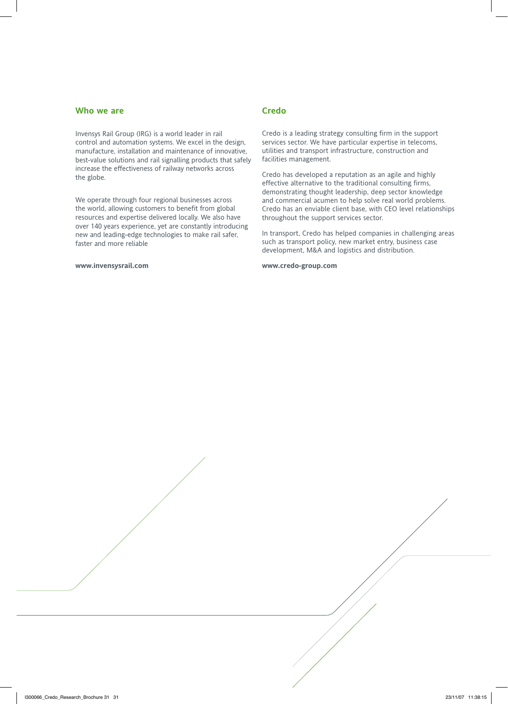## **Who we are**

Invensys Rail Group (IRG) is a world leader in rail control and automation systems. We excel in the design, manufacture, installation and maintenance of innovative, best-value solutions and rail signalling products that safely increase the effectiveness of railway networks across the globe.

We operate through four regional businesses across the world, allowing customers to benefit from global resources and expertise delivered locally. We also have over 140 years experience, yet are constantly introducing new and leading-edge technologies to make rail safer, faster and more reliable

#### **www.invensysrail.com**

## **Credo**

Credo is a leading strategy consulting firm in the support services sector. We have particular expertise in telecoms, utilities and transport infrastructure, construction and facilities management.

Credo has developed a reputation as an agile and highly effective alternative to the traditional consulting firms, demonstrating thought leadership, deep sector knowledge and commercial acumen to help solve real world problems. Credo has an enviable client base, with CEO level relationships throughout the support services sector.

In transport, Credo has helped companies in challenging areas such as transport policy, new market entry, business case development, M&A and logistics and distribution.

**www.credo-group.com**